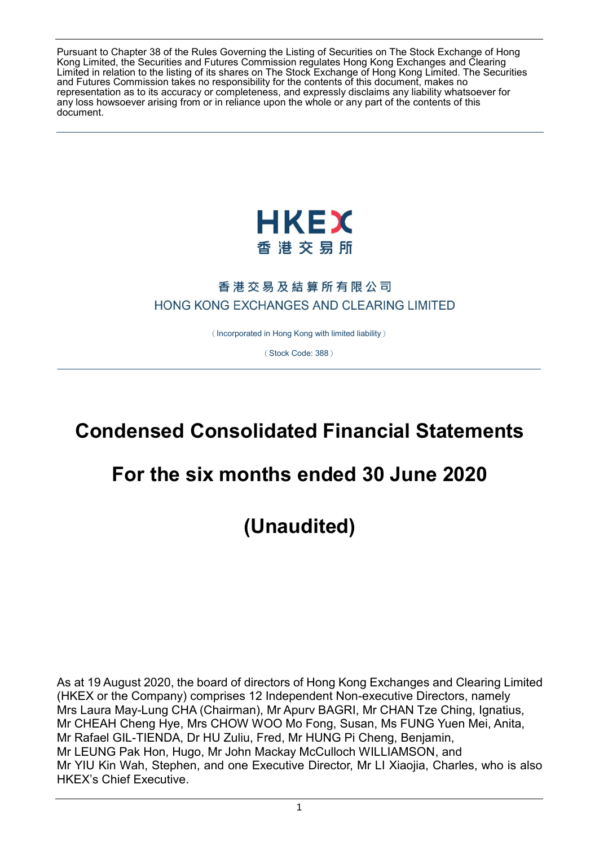Pursuant to Chapter 38 of the Rules Governing the Listing of Securities on The Stock Exchange of Hong Kong Limited, the Securities and Futures Commission regulates Hong Kong Exchanges and Clearing Limited in relation to the listing of its shares on The Stock Exchange of Hong Kong Limited. The Securities and Futures Commission takes no responsibility for the contents of this document, makes no representation as to its accuracy or completeness, and expressly disclaims any liability whatsoever for any loss howsoever arising from or in reliance upon the whole or any part of the contents of this document.



## 香港交易及結算所有限公司 HONG KONG EXCHANGES AND CLEARING LIMITED

(Incorporated in Hong Kong with limited liability)

(Stock Code: 388)

# **Condensed Consolidated Financial Statements**

# **For the six months ended 30 June 2020**

**(Unaudited)**

As at 19 August 2020, the board of directors of Hong Kong Exchanges and Clearing Limited (HKEX or the Company) comprises 12 Independent Non-executive Directors, namely Mrs Laura May-Lung CHA (Chairman), Mr Apurv BAGRI, Mr CHAN Tze Ching, Ignatius, Mr CHEAH Cheng Hye, Mrs CHOW WOO Mo Fong, Susan, Ms FUNG Yuen Mei, Anita, Mr Rafael GIL-TIENDA, Dr HU Zuliu, Fred, Mr HUNG Pi Cheng, Benjamin, Mr LEUNG Pak Hon, Hugo, Mr John Mackay McCulloch WILLIAMSON, and Mr YIU Kin Wah, Stephen, and one Executive Director, Mr LI Xiaojia, Charles, who is also HKEX's Chief Executive.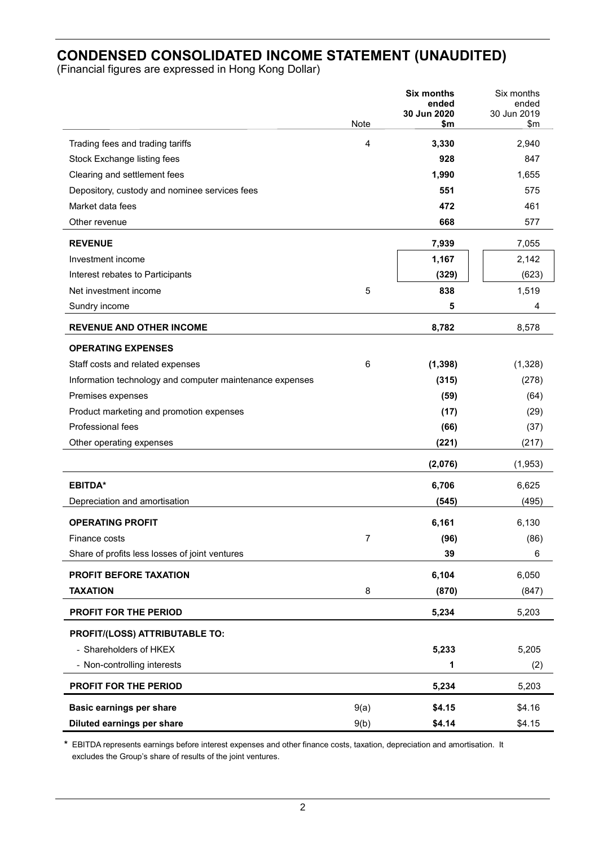## **CONDENSED CONSOLIDATED INCOME STATEMENT (UNAUDITED)**

(Financial figures are expressed in Hong Kong Dollar)

|                                                          | Note | Six months<br>ended<br>30 Jun 2020<br>\$m | Six months<br>ended<br>30 Jun 2019<br>$\mathsf{S}$ m |
|----------------------------------------------------------|------|-------------------------------------------|------------------------------------------------------|
| Trading fees and trading tariffs                         | 4    | 3,330                                     | 2,940                                                |
| Stock Exchange listing fees                              |      | 928                                       | 847                                                  |
| Clearing and settlement fees                             |      | 1,990                                     | 1,655                                                |
| Depository, custody and nominee services fees            |      | 551                                       | 575                                                  |
| Market data fees                                         |      | 472                                       | 461                                                  |
| Other revenue                                            |      | 668                                       | 577                                                  |
| <b>REVENUE</b>                                           |      | 7,939                                     | 7,055                                                |
| Investment income                                        |      | 1,167                                     | 2,142                                                |
| Interest rebates to Participants                         |      | (329)                                     | (623)                                                |
| Net investment income                                    | 5    | 838                                       | 1,519                                                |
| Sundry income                                            |      | 5                                         | 4                                                    |
| <b>REVENUE AND OTHER INCOME</b>                          |      | 8,782                                     | 8,578                                                |
| <b>OPERATING EXPENSES</b>                                |      |                                           |                                                      |
| Staff costs and related expenses                         | 6    | (1, 398)                                  | (1,328)                                              |
| Information technology and computer maintenance expenses |      | (315)                                     | (278)                                                |
| Premises expenses                                        |      | (59)                                      | (64)                                                 |
| Product marketing and promotion expenses                 |      | (17)                                      | (29)                                                 |
| Professional fees                                        |      | (66)                                      | (37)                                                 |
| Other operating expenses                                 |      | (221)                                     | (217)                                                |
|                                                          |      | (2,076)                                   | (1,953)                                              |
| <b>EBITDA*</b>                                           |      | 6,706                                     | 6,625                                                |
| Depreciation and amortisation                            |      | (545)                                     | (495)                                                |
| <b>OPERATING PROFIT</b>                                  |      | 6,161                                     | 6,130                                                |
| Finance costs                                            | 7    | (96)                                      | (86)                                                 |
| Share of profits less losses of joint ventures           |      | 39                                        | 6                                                    |
| PROFIT BEFORE TAXATION                                   |      | 6,104                                     | 6,050                                                |
| <b>TAXATION</b>                                          | 8    | (870)                                     | (847)                                                |
| PROFIT FOR THE PERIOD                                    |      | 5,234                                     | 5,203                                                |
| PROFIT/(LOSS) ATTRIBUTABLE TO:                           |      |                                           |                                                      |
| - Shareholders of HKEX                                   |      | 5,233                                     | 5,205                                                |
| - Non-controlling interests                              |      | 1                                         | (2)                                                  |
| PROFIT FOR THE PERIOD                                    |      | 5,234                                     | 5,203                                                |
| Basic earnings per share                                 | 9(a) | \$4.15                                    | \$4.16                                               |
| Diluted earnings per share                               | 9(b) | \$4.14                                    | \$4.15                                               |

**\*** EBITDA represents earnings before interest expenses and other finance costs, taxation, depreciation and amortisation. It excludes the Group's share of results of the joint ventures.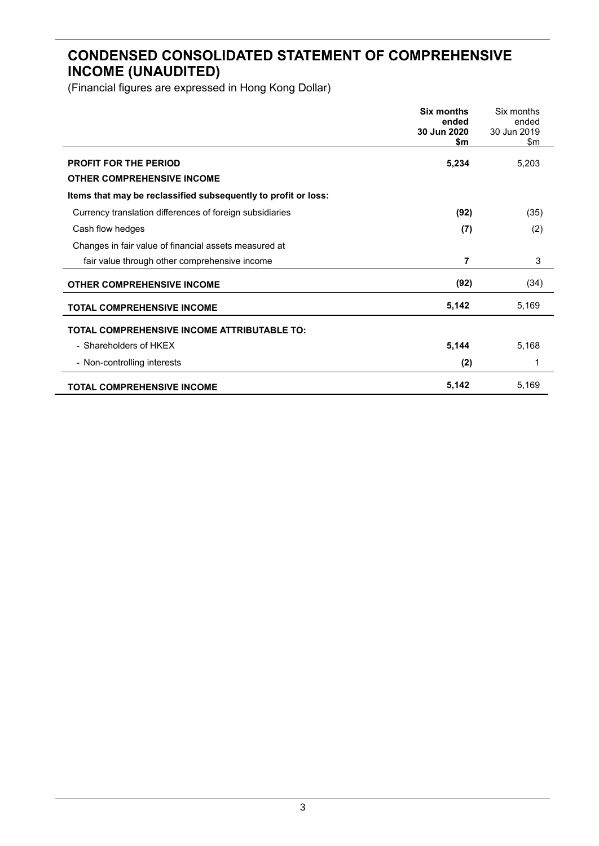## **CONDENSED CONSOLIDATED STATEMENT OF COMPREHENSIVE INCOME (UNAUDITED)**

|                                                                   | <b>Six months</b><br>ended<br>30 Jun 2020<br>\$m | Six months<br>ended<br>30 Jun 2019<br>\$m |
|-------------------------------------------------------------------|--------------------------------------------------|-------------------------------------------|
| <b>PROFIT FOR THE PERIOD</b><br><b>OTHER COMPREHENSIVE INCOME</b> | 5,234                                            | 5,203                                     |
| Items that may be reclassified subsequently to profit or loss:    |                                                  |                                           |
| Currency translation differences of foreign subsidiaries          | (92)                                             | (35)                                      |
| Cash flow hedges                                                  | (7)                                              | (2)                                       |
| Changes in fair value of financial assets measured at             |                                                  |                                           |
| fair value through other comprehensive income                     | 7                                                | 3                                         |
| <b>OTHER COMPREHENSIVE INCOME</b>                                 | (92)                                             | (34)                                      |
| <b>TOTAL COMPREHENSIVE INCOME</b>                                 | 5,142                                            | 5,169                                     |
| <b>TOTAL COMPREHENSIVE INCOME ATTRIBUTABLE TO:</b>                |                                                  |                                           |
| - Shareholders of HKEX                                            | 5,144                                            | 5,168                                     |
| - Non-controlling interests                                       | (2)                                              | 1                                         |
| <b>TOTAL COMPREHENSIVE INCOME</b>                                 | 5,142                                            | 5,169                                     |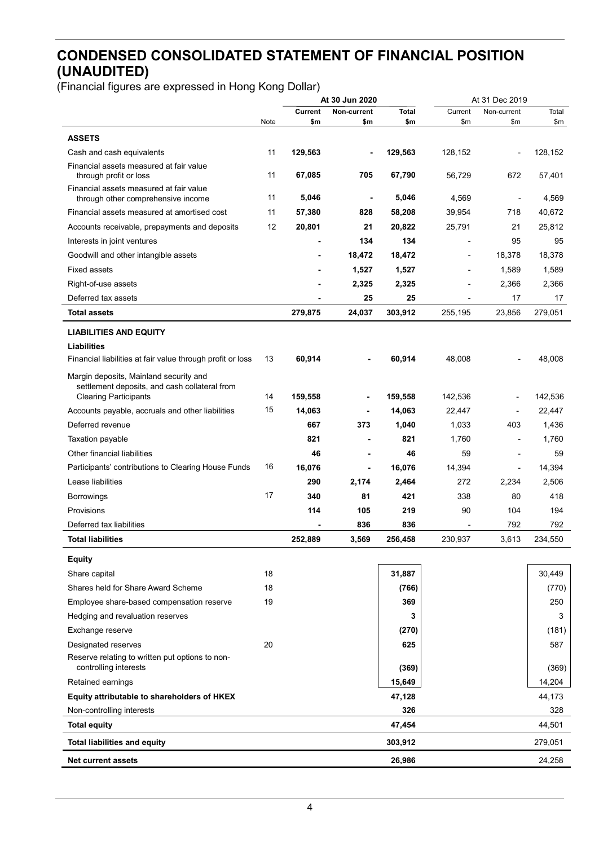## **CONDENSED CONSOLIDATED STATEMENT OF FINANCIAL POSITION (UNAUDITED)**

|                                                                               |      | At 30 Jun 2020 |                    |                     |                          | At 31 Dec 2019           |         |
|-------------------------------------------------------------------------------|------|----------------|--------------------|---------------------|--------------------------|--------------------------|---------|
|                                                                               | Note | Current<br>\$m | Non-current<br>\$m | <b>Total</b><br>\$m | Current<br>\$m           | Non-current<br>\$m       | Total   |
| <b>ASSETS</b>                                                                 |      |                |                    |                     |                          |                          | \$m     |
| Cash and cash equivalents                                                     | 11   | 129,563        |                    | 129,563             | 128,152                  |                          | 128,152 |
| Financial assets measured at fair value                                       |      |                |                    |                     |                          |                          |         |
| through profit or loss                                                        | 11   | 67,085         | 705                | 67,790              | 56,729                   | 672                      | 57,401  |
| Financial assets measured at fair value<br>through other comprehensive income | 11   | 5,046          | $\blacksquare$     | 5,046               | 4,569                    | $\overline{\phantom{a}}$ | 4,569   |
| Financial assets measured at amortised cost                                   | 11   | 57,380         | 828                | 58,208              | 39,954                   | 718                      | 40,672  |
| Accounts receivable, prepayments and deposits                                 | 12   | 20,801         | 21                 | 20,822              | 25,791                   | 21                       | 25,812  |
| Interests in joint ventures                                                   |      |                | 134                | 134                 | $\overline{a}$           | 95                       | 95      |
| Goodwill and other intangible assets                                          |      |                | 18,472             | 18,472              | ٠                        | 18,378                   | 18,378  |
| <b>Fixed assets</b>                                                           |      |                | 1,527              | 1,527               |                          | 1,589                    | 1,589   |
| Right-of-use assets                                                           |      |                | 2,325              | 2,325               |                          | 2,366                    | 2,366   |
| Deferred tax assets                                                           |      |                | 25                 | 25                  |                          | 17                       | 17      |
| <b>Total assets</b>                                                           |      | 279,875        | 24,037             | 303,912             | 255,195                  | 23,856                   | 279,051 |
| <b>LIABILITIES AND EQUITY</b>                                                 |      |                |                    |                     |                          |                          |         |
| Liabilities                                                                   |      |                |                    |                     |                          |                          |         |
| Financial liabilities at fair value through profit or loss                    | 13   | 60,914         |                    | 60,914              | 48,008                   |                          | 48,008  |
| Margin deposits, Mainland security and                                        |      |                |                    |                     |                          |                          |         |
| settlement deposits, and cash collateral from<br><b>Clearing Participants</b> | 14   | 159,558        |                    | 159,558             | 142,536                  |                          | 142,536 |
| Accounts payable, accruals and other liabilities                              | 15   | 14,063         |                    | 14,063              | 22,447                   | $\overline{\phantom{a}}$ | 22,447  |
| Deferred revenue                                                              |      | 667            | 373                | 1,040               | 1,033                    | 403                      | 1,436   |
|                                                                               |      | 821            |                    | 821                 | 1,760                    |                          | 1,760   |
| Taxation payable<br>Other financial liabilities                               |      | 46             |                    | 46                  | 59                       |                          | 59      |
|                                                                               | 16   |                | ä,                 |                     |                          |                          |         |
| Participants' contributions to Clearing House Funds                           |      | 16,076         |                    | 16,076              | 14,394                   | $\blacksquare$           | 14,394  |
| Lease liabilities                                                             | 17   | 290            | 2,174              | 2,464               | 272                      | 2,234                    | 2,506   |
| <b>Borrowings</b>                                                             |      | 340            | 81                 | 421                 | 338                      | 80                       | 418     |
| Provisions                                                                    |      | 114            | 105                | 219                 | 90                       | 104                      | 194     |
| Deferred tax liabilities                                                      |      |                | 836                | 836                 | $\overline{\phantom{a}}$ | 792                      | 792     |
| <b>Total liabilities</b>                                                      |      | 252,889        | 3,569              | 256,458             | 230,937                  | 3,613                    | 234,550 |
| <b>Equity</b>                                                                 |      |                |                    |                     |                          |                          |         |
| Share capital                                                                 | 18   |                |                    | 31,887              |                          |                          | 30,449  |
| Shares held for Share Award Scheme                                            | 18   |                |                    | (766)               |                          |                          | (770)   |
| Employee share-based compensation reserve                                     | 19   |                |                    | 369                 |                          |                          | 250     |
| Hedging and revaluation reserves                                              |      |                |                    | 3                   |                          |                          | 3       |
| Exchange reserve                                                              |      |                |                    | (270)               |                          |                          | (181)   |
| Designated reserves                                                           | 20   |                |                    | 625                 |                          |                          | 587     |
| Reserve relating to written put options to non-<br>controlling interests      |      |                |                    | (369)               |                          |                          | (369)   |
| Retained earnings                                                             |      |                |                    | 15,649              |                          |                          | 14,204  |
| Equity attributable to shareholders of HKEX                                   |      |                |                    | 47,128              |                          |                          | 44,173  |
| Non-controlling interests                                                     |      |                |                    | 326                 |                          |                          | 328     |
| <b>Total equity</b>                                                           |      |                |                    | 47,454              |                          |                          | 44,501  |
| <b>Total liabilities and equity</b>                                           |      |                |                    | 303,912             |                          |                          | 279,051 |
| <b>Net current assets</b>                                                     |      |                |                    | 26,986              |                          |                          | 24,258  |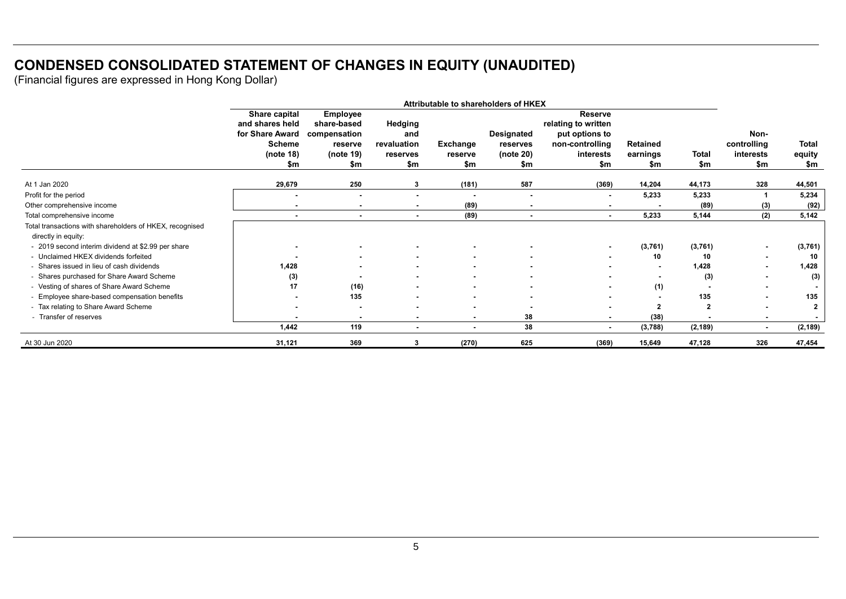## **CONDENSED CONSOLIDATED STATEMENT OF CHANGES IN EQUITY (UNAUDITED)**

|                                                                                 | Attributable to shareholders of HKEX                                                     |                                                                               |                                                  |                            |                                            |                                                                                                |                                    |                     |                                         |                        |
|---------------------------------------------------------------------------------|------------------------------------------------------------------------------------------|-------------------------------------------------------------------------------|--------------------------------------------------|----------------------------|--------------------------------------------|------------------------------------------------------------------------------------------------|------------------------------------|---------------------|-----------------------------------------|------------------------|
|                                                                                 | Share capital<br>and shares held<br>for Share Award<br><b>Scheme</b><br>(note 18)<br>\$m | <b>Employee</b><br>share-based<br>compensation<br>reserve<br>(note 19)<br>\$m | Hedging<br>and<br>revaluation<br>reserves<br>\$m | Exchange<br>reserve<br>\$m | Designated<br>reserves<br>(note 20)<br>\$m | <b>Reserve</b><br>relating to written<br>put options to<br>non-controlling<br>interests<br>\$m | <b>Retained</b><br>earnings<br>\$m | <b>Total</b><br>\$m | Non-<br>controlling<br>interests<br>\$m | Total<br>equity<br>\$m |
| At 1 Jan 2020                                                                   | 29,679                                                                                   | 250                                                                           | 3                                                | (181)                      | 587                                        | (369)                                                                                          | 14,204                             | 44,173              | 328                                     | 44,501                 |
| Profit for the period                                                           |                                                                                          |                                                                               | $\blacksquare$                                   |                            |                                            | ۰                                                                                              | 5,233                              | 5,233               |                                         | 5,234                  |
| Other comprehensive income                                                      |                                                                                          | $\blacksquare$                                                                | $\blacksquare$                                   | (89)                       |                                            |                                                                                                |                                    | (89)                | (3)                                     | (92)                   |
| Total comprehensive income                                                      |                                                                                          |                                                                               |                                                  | (89)                       |                                            |                                                                                                | 5,233                              | 5,144               | (2)                                     | 5,142                  |
| Total transactions with shareholders of HKEX, recognised<br>directly in equity: |                                                                                          |                                                                               |                                                  |                            |                                            |                                                                                                |                                    |                     |                                         |                        |
| - 2019 second interim dividend at \$2.99 per share                              |                                                                                          |                                                                               |                                                  |                            |                                            | $\sim$                                                                                         | (3,761)                            | (3,761)             | $\blacksquare$                          | (3,761)                |
| - Unclaimed HKEX dividends forfeited                                            |                                                                                          |                                                                               |                                                  |                            |                                            | $\blacksquare$                                                                                 | 10                                 | 10                  | $\overline{\phantom{0}}$                | 10                     |
| - Shares issued in lieu of cash dividends                                       | 1,428                                                                                    |                                                                               |                                                  |                            |                                            |                                                                                                |                                    | 1,428               |                                         | 1,428                  |
| - Shares purchased for Share Award Scheme                                       | (3)                                                                                      |                                                                               |                                                  |                            |                                            |                                                                                                |                                    | (3)                 | $\overline{\phantom{0}}$                | (3)                    |
| - Vesting of shares of Share Award Scheme                                       | 17                                                                                       | (16)                                                                          |                                                  | $\overline{a}$             |                                            | $\blacksquare$                                                                                 | (1)                                |                     |                                         |                        |
| - Employee share-based compensation benefits                                    |                                                                                          | 135                                                                           |                                                  |                            |                                            |                                                                                                |                                    | 135                 |                                         | 135                    |
| - Tax relating to Share Award Scheme                                            |                                                                                          |                                                                               |                                                  |                            |                                            |                                                                                                | 2                                  | $\overline{2}$      |                                         | $\overline{2}$         |
| - Transfer of reserves                                                          |                                                                                          |                                                                               |                                                  | $\blacksquare$             | 38                                         |                                                                                                | (38)                               |                     |                                         |                        |
|                                                                                 | 1,442                                                                                    | 119                                                                           | $\sim$                                           | $\sim$                     | 38                                         | $\sim$                                                                                         | (3,788)                            | (2, 189)            | $\overline{\phantom{a}}$                | (2, 189)               |
| At 30 Jun 2020                                                                  | 31,121                                                                                   | 369                                                                           | 3                                                | (270)                      | 625                                        | (369)                                                                                          | 15,649                             | 47,128              | 326                                     | 47,454                 |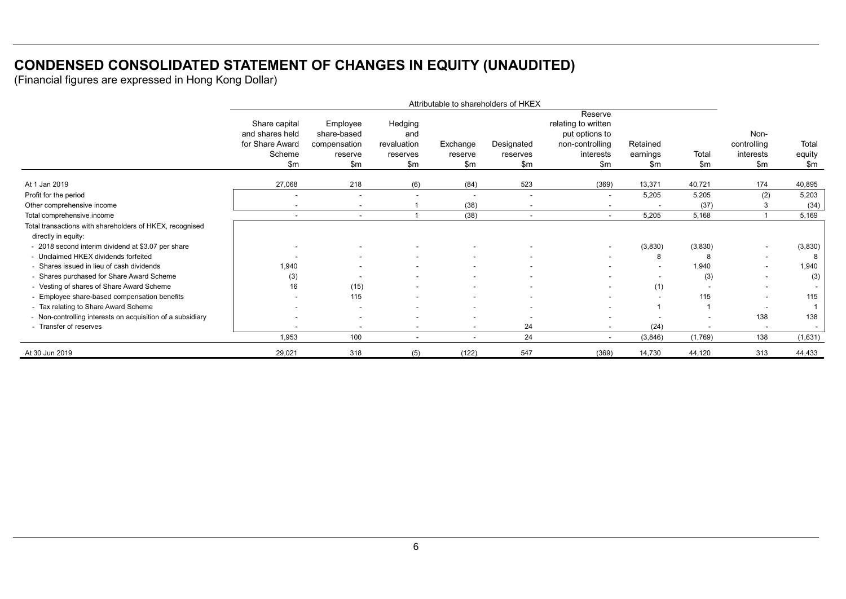## **CONDENSED CONSOLIDATED STATEMENT OF CHANGES IN EQUITY (UNAUDITED)**

|                                                                                 | Attributable to shareholders of HKEX                                   |                                                           |                                                  |                            |                               |                                                                                         |                             |                          |                                         |                        |
|---------------------------------------------------------------------------------|------------------------------------------------------------------------|-----------------------------------------------------------|--------------------------------------------------|----------------------------|-------------------------------|-----------------------------------------------------------------------------------------|-----------------------------|--------------------------|-----------------------------------------|------------------------|
|                                                                                 | Share capital<br>and shares held<br>for Share Award<br>Scheme<br>\$m\$ | Employee<br>share-based<br>compensation<br>reserve<br>\$m | Hedging<br>and<br>revaluation<br>reserves<br>\$m | Exchange<br>reserve<br>\$m | Designated<br>reserves<br>\$m | Reserve<br>relating to written<br>put options to<br>non-controlling<br>interests<br>\$m | Retained<br>earnings<br>\$m | Total<br>$\mathsf{Sm}$   | Non-<br>controlling<br>interests<br>\$m | Total<br>equity<br>\$m |
| At 1 Jan 2019                                                                   | 27,068                                                                 | 218                                                       | (6)                                              | (84)                       | 523                           | (369)                                                                                   | 13,371                      | 40,721                   | 174                                     | 40,895                 |
| Profit for the period                                                           |                                                                        | $\overline{\phantom{a}}$                                  |                                                  |                            |                               | $\overline{\phantom{a}}$                                                                | 5,205                       | 5,205                    | (2)                                     | 5,203                  |
| Other comprehensive income                                                      |                                                                        | $\overline{\phantom{a}}$                                  |                                                  | (38)                       | $\overline{\phantom{a}}$      | $\overline{\phantom{0}}$                                                                |                             | (37)                     |                                         | (34)                   |
| Total comprehensive income                                                      | $\overline{\phantom{a}}$                                               | $\overline{\phantom{a}}$                                  |                                                  | (38)                       | $\overline{\phantom{a}}$      | $\sim$                                                                                  | 5,205                       | 5,168                    |                                         | 5,169                  |
| Total transactions with shareholders of HKEX, recognised<br>directly in equity: |                                                                        |                                                           |                                                  |                            |                               |                                                                                         |                             |                          |                                         |                        |
| - 2018 second interim dividend at \$3.07 per share                              |                                                                        |                                                           |                                                  |                            |                               | $\overline{\phantom{a}}$                                                                | (3,830)                     | (3,830)                  | $\overline{\phantom{0}}$                | (3,830)                |
| - Unclaimed HKEX dividends forfeited                                            |                                                                        |                                                           |                                                  |                            |                               |                                                                                         | 8                           | 8                        | $\overline{\phantom{0}}$                | 8                      |
| - Shares issued in lieu of cash dividends                                       | 1,940                                                                  |                                                           |                                                  | $\overline{\phantom{a}}$   | $\overline{\phantom{a}}$      |                                                                                         |                             | 1,940                    | $\overline{\phantom{0}}$                | 1,940                  |
| - Shares purchased for Share Award Scheme                                       | (3)                                                                    |                                                           |                                                  |                            |                               |                                                                                         |                             | (3)                      | $\overline{\phantom{0}}$                | (3)                    |
| - Vesting of shares of Share Award Scheme                                       | 16                                                                     | (15)                                                      |                                                  |                            |                               | $\overline{\phantom{a}}$                                                                | (1)                         |                          |                                         |                        |
| - Employee share-based compensation benefits                                    |                                                                        | 115                                                       |                                                  |                            |                               |                                                                                         |                             | 115                      | $\overline{\phantom{0}}$                | 115                    |
| - Tax relating to Share Award Scheme                                            |                                                                        | $\overline{\phantom{a}}$                                  |                                                  | $\overline{\phantom{a}}$   |                               |                                                                                         |                             |                          |                                         |                        |
| - Non-controlling interests on acquisition of a subsidiary                      |                                                                        |                                                           |                                                  |                            |                               |                                                                                         |                             |                          | 138                                     | 138                    |
| - Transfer of reserves                                                          |                                                                        | $\overline{\phantom{a}}$                                  | $\overline{\phantom{a}}$                         | $\sim$                     | 24                            | ۰.                                                                                      | (24)                        | $\overline{\phantom{a}}$ | $\overline{\phantom{a}}$                |                        |
|                                                                                 | 1,953                                                                  | 100                                                       | $\overline{\phantom{a}}$                         | $\overline{\phantom{a}}$   | 24                            | $\overline{\phantom{a}}$                                                                | (3,846)                     | (1,769)                  | 138                                     | (1,631)                |
| At 30 Jun 2019                                                                  | 29,021                                                                 | 318                                                       | (5)                                              | (122)                      | 547                           | (369)                                                                                   | 14,730                      | 44,120                   | 313                                     | 44,433                 |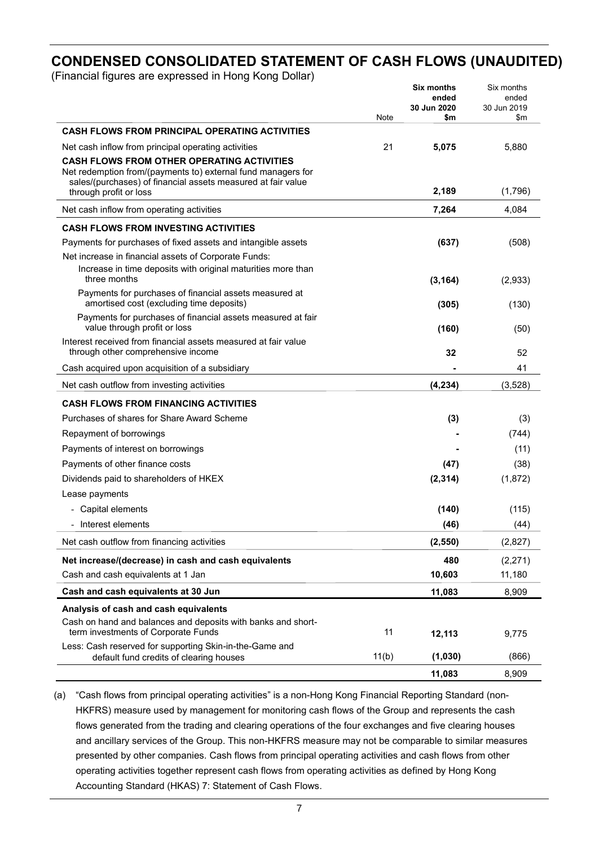## **CONDENSED CONSOLIDATED STATEMENT OF CASH FLOWS (UNAUDITED)**

(Financial figures are expressed in Hong Kong Dollar)

|                                                                                                                                                                                   |       | <b>Six months</b><br>ended<br>30 Jun 2020 | Six months<br>ended<br>30 Jun 2019 |
|-----------------------------------------------------------------------------------------------------------------------------------------------------------------------------------|-------|-------------------------------------------|------------------------------------|
| <b>CASH FLOWS FROM PRINCIPAL OPERATING ACTIVITIES</b>                                                                                                                             | Note  | \$m                                       | \$m                                |
| Net cash inflow from principal operating activities                                                                                                                               | 21    | 5,075                                     | 5,880                              |
| <b>CASH FLOWS FROM OTHER OPERATING ACTIVITIES</b><br>Net redemption from/(payments to) external fund managers for<br>sales/(purchases) of financial assets measured at fair value |       |                                           |                                    |
| through profit or loss                                                                                                                                                            |       | 2,189                                     | (1,796)                            |
| Net cash inflow from operating activities                                                                                                                                         |       | 7,264                                     | 4,084                              |
| <b>CASH FLOWS FROM INVESTING ACTIVITIES</b>                                                                                                                                       |       |                                           |                                    |
| Payments for purchases of fixed assets and intangible assets                                                                                                                      |       | (637)                                     | (508)                              |
| Net increase in financial assets of Corporate Funds:                                                                                                                              |       |                                           |                                    |
| Increase in time deposits with original maturities more than<br>three months                                                                                                      |       | (3, 164)                                  | (2,933)                            |
| Payments for purchases of financial assets measured at<br>amortised cost (excluding time deposits)                                                                                |       | (305)                                     | (130)                              |
| Payments for purchases of financial assets measured at fair<br>value through profit or loss                                                                                       |       | (160)                                     | (50)                               |
| Interest received from financial assets measured at fair value<br>through other comprehensive income                                                                              |       | 32                                        | 52                                 |
| Cash acquired upon acquisition of a subsidiary                                                                                                                                    |       |                                           | 41                                 |
| Net cash outflow from investing activities                                                                                                                                        |       | (4, 234)                                  | (3,528)                            |
| <b>CASH FLOWS FROM FINANCING ACTIVITIES</b>                                                                                                                                       |       |                                           |                                    |
| Purchases of shares for Share Award Scheme                                                                                                                                        |       | (3)                                       | (3)                                |
| Repayment of borrowings                                                                                                                                                           |       |                                           | (744)                              |
| Payments of interest on borrowings                                                                                                                                                |       |                                           | (11)                               |
| Payments of other finance costs                                                                                                                                                   |       | (47)                                      | (38)                               |
| Dividends paid to shareholders of HKEX                                                                                                                                            |       | (2, 314)                                  | (1,872)                            |
| Lease payments                                                                                                                                                                    |       |                                           |                                    |
| - Capital elements                                                                                                                                                                |       | (140)                                     | (115)                              |
| - Interest elements                                                                                                                                                               |       | (46)                                      | (44)                               |
| Net cash outflow from financing activities                                                                                                                                        |       | (2, 550)                                  | (2,827)                            |
| Net increase/(decrease) in cash and cash equivalents                                                                                                                              |       | 480                                       | (2,271)                            |
| Cash and cash equivalents at 1 Jan                                                                                                                                                |       | 10,603                                    | 11,180                             |
| Cash and cash equivalents at 30 Jun                                                                                                                                               |       | 11,083                                    | 8,909                              |
| Analysis of cash and cash equivalents                                                                                                                                             |       |                                           |                                    |
| Cash on hand and balances and deposits with banks and short-<br>term investments of Corporate Funds                                                                               | 11    | 12,113                                    | 9,775                              |
| Less: Cash reserved for supporting Skin-in-the-Game and<br>default fund credits of clearing houses                                                                                | 11(b) | (1,030)                                   | (866)                              |
|                                                                                                                                                                                   |       | 11,083                                    | 8,909                              |

(a) "Cash flows from principal operating activities" is a non-Hong Kong Financial Reporting Standard (non-HKFRS) measure used by management for monitoring cash flows of the Group and represents the cash flows generated from the trading and clearing operations of the four exchanges and five clearing houses and ancillary services of the Group. This non-HKFRS measure may not be comparable to similar measures presented by other companies. Cash flows from principal operating activities and cash flows from other operating activities together represent cash flows from operating activities as defined by Hong Kong Accounting Standard (HKAS) 7: Statement of Cash Flows.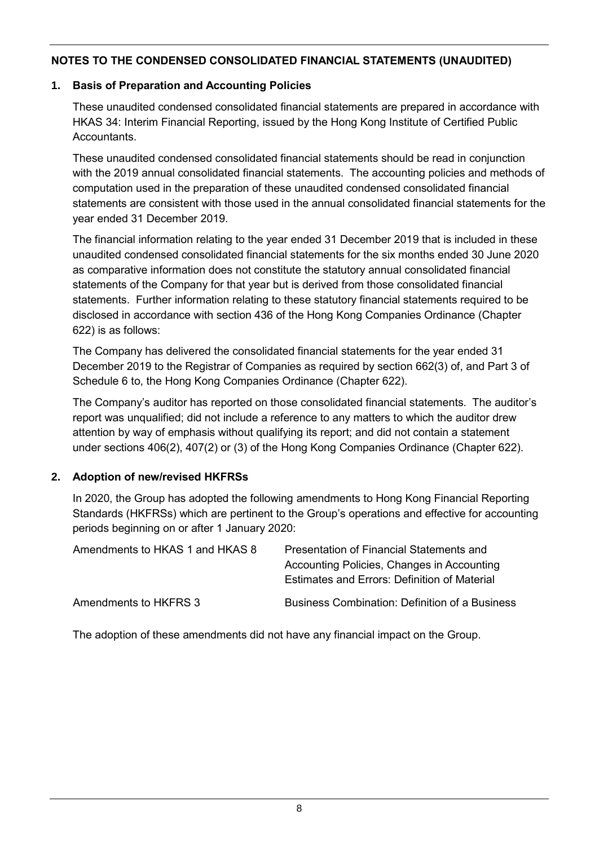## **1. Basis of Preparation and Accounting Policies**

These unaudited condensed consolidated financial statements are prepared in accordance with HKAS 34: Interim Financial Reporting, issued by the Hong Kong Institute of Certified Public Accountants.

These unaudited condensed consolidated financial statements should be read in conjunction with the 2019 annual consolidated financial statements. The accounting policies and methods of computation used in the preparation of these unaudited condensed consolidated financial statements are consistent with those used in the annual consolidated financial statements for the year ended 31 December 2019.

The financial information relating to the year ended 31 December 2019 that is included in these unaudited condensed consolidated financial statements for the six months ended 30 June 2020 as comparative information does not constitute the statutory annual consolidated financial statements of the Company for that year but is derived from those consolidated financial statements. Further information relating to these statutory financial statements required to be disclosed in accordance with section 436 of the Hong Kong Companies Ordinance (Chapter 622) is as follows:

The Company has delivered the consolidated financial statements for the year ended 31 December 2019 to the Registrar of Companies as required by section 662(3) of, and Part 3 of Schedule 6 to, the Hong Kong Companies Ordinance (Chapter 622).

The Company's auditor has reported on those consolidated financial statements. The auditor's report was unqualified; did not include a reference to any matters to which the auditor drew attention by way of emphasis without qualifying its report; and did not contain a statement under sections 406(2), 407(2) or (3) of the Hong Kong Companies Ordinance (Chapter 622).

## **2. Adoption of new/revised HKFRSs**

In 2020, the Group has adopted the following amendments to Hong Kong Financial Reporting Standards (HKFRSs) which are pertinent to the Group's operations and effective for accounting periods beginning on or after 1 January 2020:

| Amendments to HKAS 1 and HKAS 8 | Presentation of Financial Statements and<br>Accounting Policies, Changes in Accounting<br>Estimates and Errors: Definition of Material |
|---------------------------------|----------------------------------------------------------------------------------------------------------------------------------------|
| Amendments to HKFRS 3           | <b>Business Combination: Definition of a Business</b>                                                                                  |

The adoption of these amendments did not have any financial impact on the Group.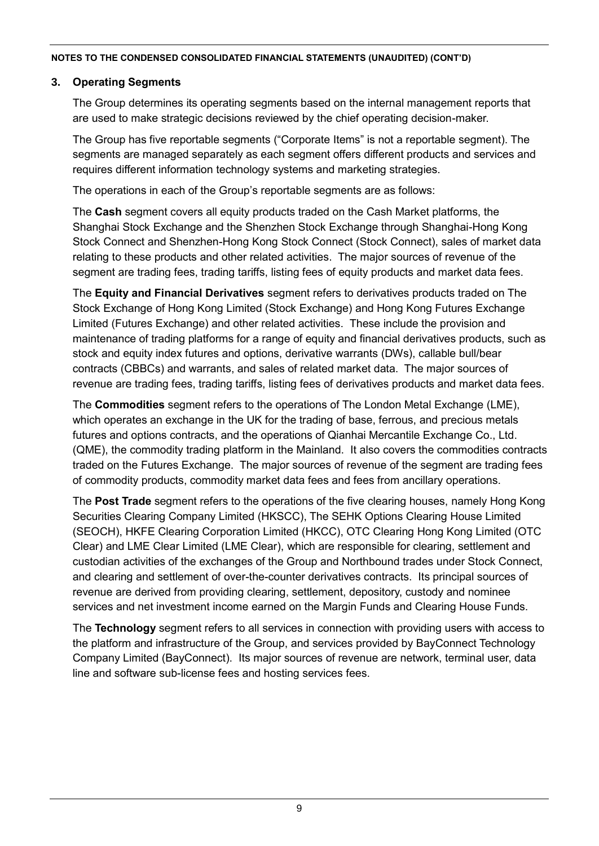## **3. Operating Segments**

The Group determines its operating segments based on the internal management reports that are used to make strategic decisions reviewed by the chief operating decision-maker.

The Group has five reportable segments ("Corporate Items" is not a reportable segment). The segments are managed separately as each segment offers different products and services and requires different information technology systems and marketing strategies.

The operations in each of the Group's reportable segments are as follows:

The **Cash** segment covers all equity products traded on the Cash Market platforms, the Shanghai Stock Exchange and the Shenzhen Stock Exchange through Shanghai-Hong Kong Stock Connect and Shenzhen-Hong Kong Stock Connect (Stock Connect), sales of market data relating to these products and other related activities. The major sources of revenue of the segment are trading fees, trading tariffs, listing fees of equity products and market data fees.

The **Equity and Financial Derivatives** segment refers to derivatives products traded on The Stock Exchange of Hong Kong Limited (Stock Exchange) and Hong Kong Futures Exchange Limited (Futures Exchange) and other related activities. These include the provision and maintenance of trading platforms for a range of equity and financial derivatives products, such as stock and equity index futures and options, derivative warrants (DWs), callable bull/bear contracts (CBBCs) and warrants, and sales of related market data. The major sources of revenue are trading fees, trading tariffs, listing fees of derivatives products and market data fees.

The **Commodities** segment refers to the operations of The London Metal Exchange (LME), which operates an exchange in the UK for the trading of base, ferrous, and precious metals futures and options contracts, and the operations of Qianhai Mercantile Exchange Co., Ltd. (QME), the commodity trading platform in the Mainland. It also covers the commodities contracts traded on the Futures Exchange. The major sources of revenue of the segment are trading fees of commodity products, commodity market data fees and fees from ancillary operations.

The **Post Trade** segment refers to the operations of the five clearing houses, namely Hong Kong Securities Clearing Company Limited (HKSCC), The SEHK Options Clearing House Limited (SEOCH), HKFE Clearing Corporation Limited (HKCC), OTC Clearing Hong Kong Limited (OTC Clear) and LME Clear Limited (LME Clear), which are responsible for clearing, settlement and custodian activities of the exchanges of the Group and Northbound trades under Stock Connect, and clearing and settlement of over-the-counter derivatives contracts. Its principal sources of revenue are derived from providing clearing, settlement, depository, custody and nominee services and net investment income earned on the Margin Funds and Clearing House Funds.

The **Technology** segment refers to all services in connection with providing users with access to the platform and infrastructure of the Group, and services provided by BayConnect Technology Company Limited (BayConnect). Its major sources of revenue are network, terminal user, data line and software sub-license fees and hosting services fees.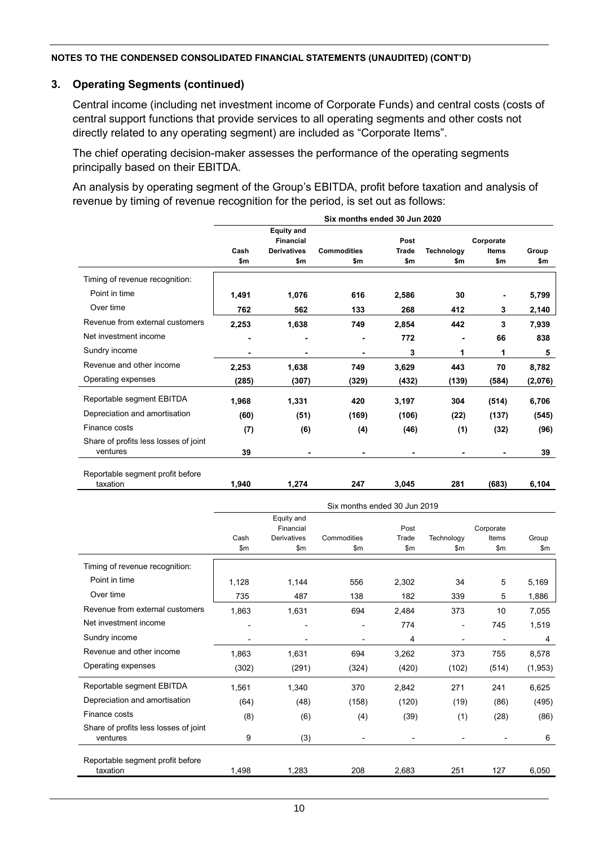#### **3. Operating Segments (continued)**

Central income (including net investment income of Corporate Funds) and central costs (costs of central support functions that provide services to all operating segments and other costs not directly related to any operating segment) are included as "Corporate Items".

The chief operating decision-maker assesses the performance of the operating segments principally based on their EBITDA.

An analysis by operating segment of the Group's EBITDA, profit before taxation and analysis of revenue by timing of revenue recognition for the period, is set out as follows:

|                                                   | Six months ended 30 Jun 2020 |                                       |                    |              |                   |              |         |
|---------------------------------------------------|------------------------------|---------------------------------------|--------------------|--------------|-------------------|--------------|---------|
|                                                   |                              | <b>Equity and</b><br><b>Financial</b> |                    | Post         |                   | Corporate    |         |
|                                                   | Cash                         | <b>Derivatives</b>                    | <b>Commodities</b> | <b>Trade</b> | <b>Technology</b> | <b>Items</b> | Group   |
|                                                   | \$m                          | \$m                                   | \$m                | \$m          | \$m               | \$m          | \$m     |
| Timing of revenue recognition:                    |                              |                                       |                    |              |                   |              |         |
| Point in time                                     | 1,491                        | 1,076                                 | 616                | 2,586        | 30                |              | 5,799   |
| Over time                                         | 762                          | 562                                   | 133                | 268          | 412               | 3            | 2,140   |
| Revenue from external customers                   | 2,253                        | 1,638                                 | 749                | 2,854        | 442               | 3            | 7,939   |
| Net investment income                             |                              |                                       |                    | 772          |                   | 66           | 838     |
| Sundry income                                     |                              |                                       |                    | 3            | 1                 | 1            | 5       |
| Revenue and other income                          | 2,253                        | 1,638                                 | 749                | 3,629        | 443               | 70           | 8,782   |
| Operating expenses                                | (285)                        | (307)                                 | (329)              | (432)        | (139)             | (584)        | (2,076) |
| Reportable segment EBITDA                         | 1,968                        | 1,331                                 | 420                | 3,197        | 304               | (514)        | 6,706   |
| Depreciation and amortisation                     | (60)                         | (51)                                  | (169)              | (106)        | (22)              | (137)        | (545)   |
| Finance costs                                     | (7)                          | (6)                                   | (4)                | (46)         | (1)               | (32)         | (96)    |
| Share of profits less losses of joint<br>ventures | 39                           |                                       |                    |              |                   |              | 39      |
| Reportable segment profit before<br>taxation      | 1.940                        | 1,274                                 | 247                | 3,045        | 281               | (683)        | 6,104   |

|                                                   | Six months ended 30 Jun 2019 |                                 |             |               |                          |                    |               |
|---------------------------------------------------|------------------------------|---------------------------------|-------------|---------------|--------------------------|--------------------|---------------|
|                                                   |                              | Equity and                      |             |               |                          |                    |               |
|                                                   | Cash                         | Financial<br><b>Derivatives</b> | Commodities | Post<br>Trade | Technology               | Corporate<br>Items | Group         |
|                                                   | \$m\$                        | \$m\$                           | \$m         | \$m\$         | $\mathsf{Sm}$            | \$m                | $\mathsf{Sm}$ |
| Timing of revenue recognition:                    |                              |                                 |             |               |                          |                    |               |
| Point in time                                     | 1,128                        | 1,144                           | 556         | 2,302         | 34                       | 5                  | 5,169         |
| Over time                                         | 735                          | 487                             | 138         | 182           | 339                      | 5                  | 1,886         |
| Revenue from external customers                   | 1,863                        | 1,631                           | 694         | 2,484         | 373                      | 10                 | 7,055         |
| Net investment income                             |                              |                                 |             | 774           | $\overline{\phantom{0}}$ | 745                | 1,519         |
| Sundry income                                     |                              |                                 |             | 4             |                          |                    | 4             |
| Revenue and other income                          | 1,863                        | 1,631                           | 694         | 3,262         | 373                      | 755                | 8,578         |
| Operating expenses                                | (302)                        | (291)                           | (324)       | (420)         | (102)                    | (514)              | (1,953)       |
| Reportable segment EBITDA                         | 1,561                        | 1,340                           | 370         | 2,842         | 271                      | 241                | 6,625         |
| Depreciation and amortisation                     | (64)                         | (48)                            | (158)       | (120)         | (19)                     | (86)               | (495)         |
| Finance costs                                     | (8)                          | (6)                             | (4)         | (39)          | (1)                      | (28)               | (86)          |
| Share of profits less losses of joint<br>ventures | 9                            | (3)                             | ٠           |               |                          |                    | 6             |
|                                                   |                              |                                 |             |               |                          |                    |               |
| Reportable segment profit before<br>taxation      | 1.498                        | 1,283                           | 208         | 2,683         | 251                      | 127                | 6,050         |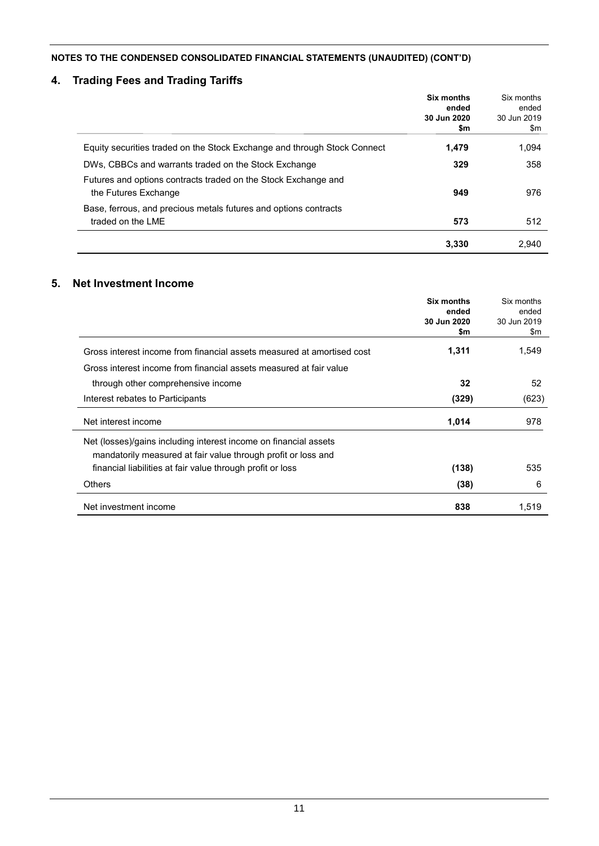## **4. Trading Fees and Trading Tariffs**

|                                                                                        | Six months<br>ended<br>30 Jun 2020<br>\$m | Six months<br>ended<br>30 Jun 2019<br>\$m |
|----------------------------------------------------------------------------------------|-------------------------------------------|-------------------------------------------|
| Equity securities traded on the Stock Exchange and through Stock Connect               | 1.479                                     | 1.094                                     |
| DWs, CBBCs and warrants traded on the Stock Exchange                                   | 329                                       | 358                                       |
| Futures and options contracts traded on the Stock Exchange and<br>the Futures Exchange | 949                                       | 976                                       |
| Base, ferrous, and precious metals futures and options contracts<br>traded on the LME  | 573                                       | 512                                       |
|                                                                                        | 3.330                                     | 2,940                                     |

## **5. Net Investment Income**

|                                                                        | Six months<br>ended | Six months<br>ended |
|------------------------------------------------------------------------|---------------------|---------------------|
|                                                                        | 30 Jun 2020<br>\$m  | 30 Jun 2019<br>\$m  |
| Gross interest income from financial assets measured at amortised cost | 1,311               | 1,549               |
| Gross interest income from financial assets measured at fair value     |                     |                     |
| through other comprehensive income                                     | 32                  | 52                  |
| Interest rebates to Participants                                       | (329)               | (623)               |
| Net interest income                                                    | 1,014               | 978                 |
| Net (losses)/gains including interest income on financial assets       |                     |                     |
| mandatorily measured at fair value through profit or loss and          |                     |                     |
| financial liabilities at fair value through profit or loss             | (138)               | 535                 |
| <b>Others</b>                                                          | (38)                | 6                   |
| Net investment income                                                  | 838                 | 1,519               |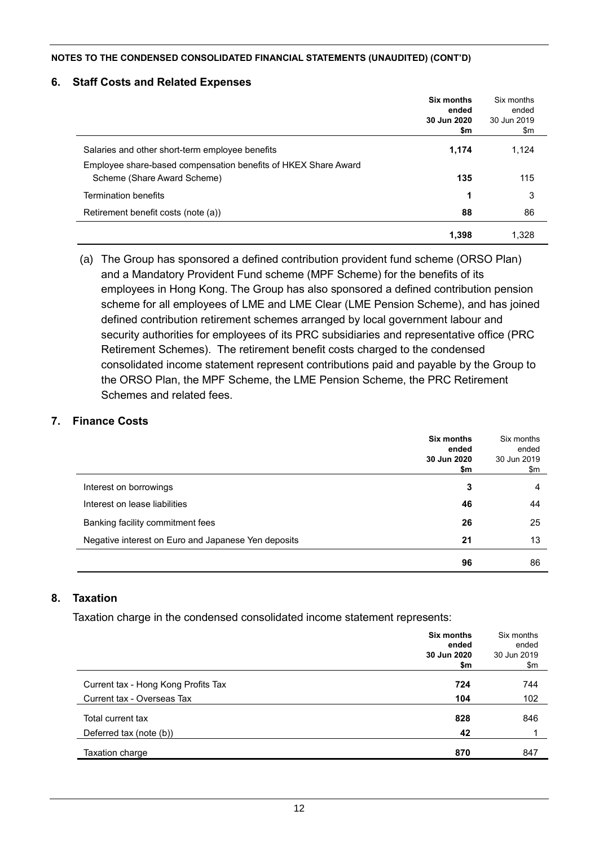#### **6. Staff Costs and Related Expenses**

|                                                                                               | Six months<br>ended<br>30 Jun 2020<br>\$m | Six months<br>ended<br>30 Jun 2019<br>\$m |
|-----------------------------------------------------------------------------------------------|-------------------------------------------|-------------------------------------------|
| Salaries and other short-term employee benefits                                               | 1,174                                     | 1,124                                     |
| Employee share-based compensation benefits of HKEX Share Award<br>Scheme (Share Award Scheme) | 135                                       | 115                                       |
| <b>Termination benefits</b>                                                                   | 1                                         | 3                                         |
| Retirement benefit costs (note (a))                                                           | 88                                        | 86                                        |
|                                                                                               | 1,398                                     | 1,328                                     |

(a) The Group has sponsored a defined contribution provident fund scheme (ORSO Plan) and a Mandatory Provident Fund scheme (MPF Scheme) for the benefits of its employees in Hong Kong. The Group has also sponsored a defined contribution pension scheme for all employees of LME and LME Clear (LME Pension Scheme), and has joined defined contribution retirement schemes arranged by local government labour and security authorities for employees of its PRC subsidiaries and representative office (PRC Retirement Schemes). The retirement benefit costs charged to the condensed consolidated income statement represent contributions paid and payable by the Group to the ORSO Plan, the MPF Scheme, the LME Pension Scheme, the PRC Retirement Schemes and related fees.

#### **7. Finance Costs**

|                                                     | Six months<br>ended<br>30 Jun 2020<br>\$m | Six months<br>ended<br>30 Jun 2019<br>\$m |
|-----------------------------------------------------|-------------------------------------------|-------------------------------------------|
| Interest on borrowings                              | 3                                         | 4                                         |
| Interest on lease liabilities                       | 46                                        | 44                                        |
| Banking facility commitment fees                    | 26                                        | 25                                        |
| Negative interest on Euro and Japanese Yen deposits | 21                                        | 13                                        |
|                                                     | 96                                        | 86                                        |

#### **8. Taxation**

Taxation charge in the condensed consolidated income statement represents:

|                                     | Six months<br>ended | Six months<br>ended |
|-------------------------------------|---------------------|---------------------|
|                                     | 30 Jun 2020         | 30 Jun 2019         |
|                                     | \$m                 | \$m                 |
| Current tax - Hong Kong Profits Tax | 724                 | 744                 |
| Current tax - Overseas Tax          | 104                 | 102                 |
| Total current tax                   | 828                 | 846                 |
| Deferred tax (note (b))             | 42                  |                     |
| Taxation charge                     | 870                 | 847                 |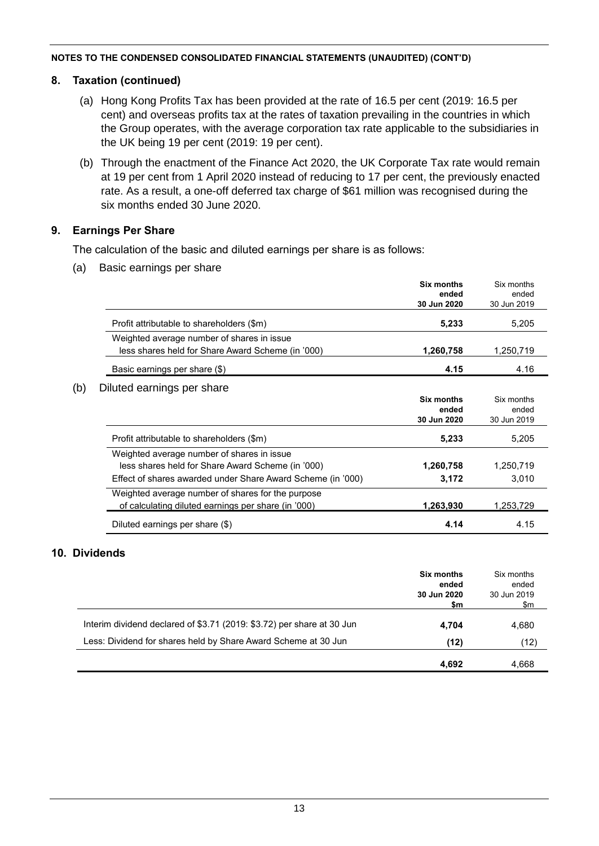### **8. Taxation (continued)**

- (a) Hong Kong Profits Tax has been provided at the rate of 16.5 per cent (2019: 16.5 per cent) and overseas profits tax at the rates of taxation prevailing in the countries in which the Group operates, with the average corporation tax rate applicable to the subsidiaries in the UK being 19 per cent (2019: 19 per cent).
- (b) Through the enactment of the Finance Act 2020, the UK Corporate Tax rate would remain at 19 per cent from 1 April 2020 instead of reducing to 17 per cent, the previously enacted rate. As a result, a one-off deferred tax charge of \$61 million was recognised during the six months ended 30 June 2020.

### **9. Earnings Per Share**

The calculation of the basic and diluted earnings per share is as follows:

(a) Basic earnings per share

|     |                                                             | <b>Six months</b><br>ended<br>30 Jun 2020 | Six months<br>ended<br>30 Jun 2019 |
|-----|-------------------------------------------------------------|-------------------------------------------|------------------------------------|
|     | Profit attributable to shareholders (\$m)                   | 5,233                                     | 5,205                              |
|     | Weighted average number of shares in issue                  |                                           |                                    |
|     | less shares held for Share Award Scheme (in '000)           | 1,260,758                                 | 1,250,719                          |
|     | Basic earnings per share (\$)                               | 4.15                                      | 4.16                               |
| (b) | Diluted earnings per share                                  |                                           |                                    |
|     |                                                             | <b>Six months</b>                         | Six months                         |
|     |                                                             | ended                                     | ended                              |
|     |                                                             | 30 Jun 2020                               | 30 Jun 2019                        |
|     | Profit attributable to shareholders (\$m)                   | 5,233                                     | 5,205                              |
|     | Weighted average number of shares in issue                  |                                           |                                    |
|     | less shares held for Share Award Scheme (in '000)           | 1,260,758                                 | 1,250,719                          |
|     | Effect of shares awarded under Share Award Scheme (in '000) | 3,172                                     | 3,010                              |
|     | Weighted average number of shares for the purpose           |                                           |                                    |
|     | of calculating diluted earnings per share (in '000)         | 1,263,930                                 | 1,253,729                          |
|     | Diluted earnings per share (\$)                             | 4.14                                      | 4.15                               |

### **10. Dividends**

|                                                                        | Six months<br>ended<br>30 Jun 2020<br>\$m | Six months<br>ended<br>30 Jun 2019<br>\$m |
|------------------------------------------------------------------------|-------------------------------------------|-------------------------------------------|
| Interim dividend declared of \$3.71 (2019: \$3.72) per share at 30 Jun | 4.704                                     | 4,680                                     |
| Less: Dividend for shares held by Share Award Scheme at 30 Jun         | (12)                                      | (12)                                      |
|                                                                        | 4.692                                     | 4,668                                     |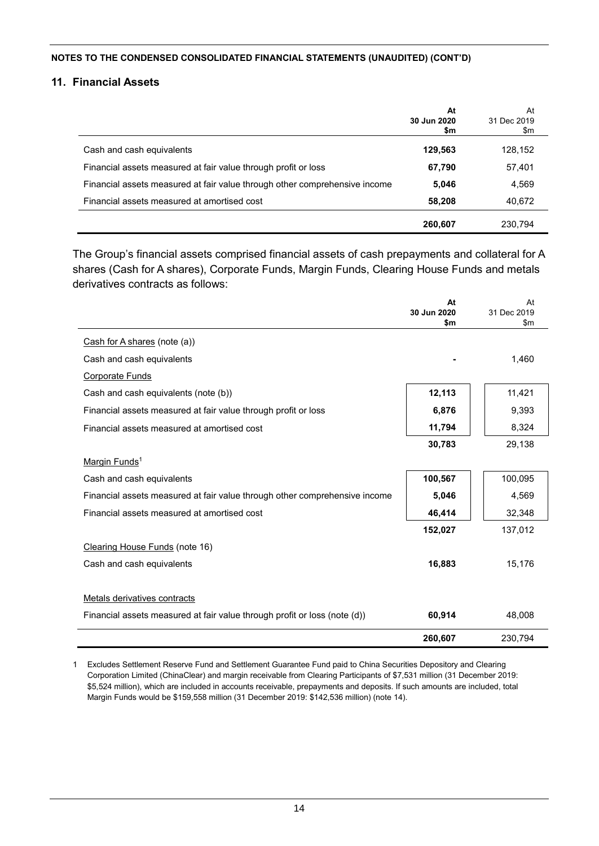#### **11. Financial Assets**

|                                                                            | At<br>30 Jun 2020<br>\$m | At<br>31 Dec 2019<br>\$m |
|----------------------------------------------------------------------------|--------------------------|--------------------------|
| Cash and cash equivalents                                                  | 129,563                  | 128,152                  |
| Financial assets measured at fair value through profit or loss             | 67,790                   | 57,401                   |
| Financial assets measured at fair value through other comprehensive income | 5,046                    | 4,569                    |
| Financial assets measured at amortised cost                                | 58,208                   | 40,672                   |
|                                                                            | 260,607                  | 230.794                  |

The Group's financial assets comprised financial assets of cash prepayments and collateral for A shares (Cash for A shares), Corporate Funds, Margin Funds, Clearing House Funds and metals derivatives contracts as follows:

|                                                                            | At<br>30 Jun 2020<br>\$m | At<br>31 Dec 2019<br>\$m\$ |
|----------------------------------------------------------------------------|--------------------------|----------------------------|
| Cash for A shares (note (a))                                               |                          |                            |
| Cash and cash equivalents                                                  |                          | 1,460                      |
| <b>Corporate Funds</b>                                                     |                          |                            |
| Cash and cash equivalents (note (b))                                       | 12,113                   | 11,421                     |
| Financial assets measured at fair value through profit or loss             | 6,876                    | 9,393                      |
| Financial assets measured at amortised cost                                | 11,794                   | 8,324                      |
|                                                                            | 30,783                   | 29,138                     |
| Margin Funds <sup>1</sup>                                                  |                          |                            |
| Cash and cash equivalents                                                  | 100,567                  | 100,095                    |
| Financial assets measured at fair value through other comprehensive income | 5,046                    | 4,569                      |
| Financial assets measured at amortised cost                                | 46,414                   | 32,348                     |
|                                                                            | 152,027                  | 137,012                    |
| Clearing House Funds (note 16)                                             |                          |                            |
| Cash and cash equivalents                                                  | 16,883                   | 15,176                     |
| Metals derivatives contracts                                               |                          |                            |
| Financial assets measured at fair value through profit or loss (note (d))  | 60,914                   | 48,008                     |
|                                                                            | 260,607                  | 230,794                    |

1 Excludes Settlement Reserve Fund and Settlement Guarantee Fund paid to China Securities Depository and Clearing Corporation Limited (ChinaClear) and margin receivable from Clearing Participants of \$7,531 million (31 December 2019: \$5,524 million), which are included in accounts receivable, prepayments and deposits. If such amounts are included, total Margin Funds would be \$159,558 million (31 December 2019: \$142,536 million) (note 14).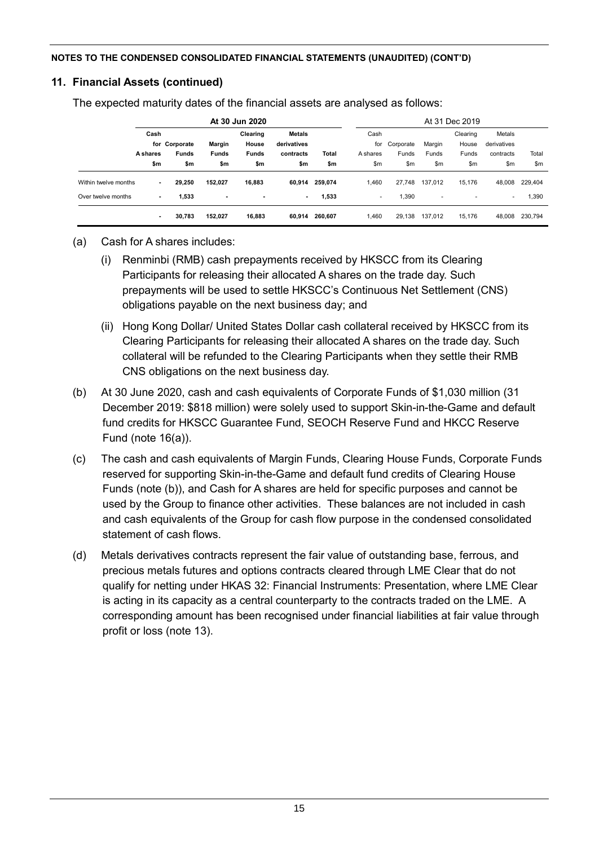## **11. Financial Assets (continued)**

The expected maturity dates of the financial assets are analysed as follows:

| At 30 Jun 2020       |          |               |                |                | At 31 Dec 2019 |         |          |           |         |          |             |         |
|----------------------|----------|---------------|----------------|----------------|----------------|---------|----------|-----------|---------|----------|-------------|---------|
|                      |          | Cash          |                | Clearing       | <b>Metals</b>  |         | Cash     |           |         | Clearing | Metals      |         |
|                      |          | for Corporate | Margin         | House          | derivatives    |         | for      | Corporate | Margin  | House    | derivatives |         |
|                      | A shares | <b>Funds</b>  | <b>Funds</b>   | <b>Funds</b>   | contracts      | Total   | A shares | Funds     | Funds   | Funds    | contracts   | Total   |
|                      | \$m      | \$m           | \$m            | \$m            | \$m            | \$m     | \$m      | \$m       | \$m     | \$m      | \$m         | \$m     |
| Within twelve months | ۰.       | 29,250        | 152,027        | 16,883         | 60,914         | 259.074 | 1,460    | 27,748    | 137.012 | 15.176   | 48.008      | 229,404 |
| Over twelve months   | ٠        | 1,533         | $\blacksquare$ | $\blacksquare$ | $\blacksquare$ | 1,533   | ٠        | 1,390     | ٠       | ۰        | ٠           | 1,390   |
|                      | $\sim$   | 30,783        | 152,027        | 16,883         | 60.914         | 260.607 | 1,460    | 29.138    | 137.012 | 15.176   | 48.008      | 230,794 |

## (a) Cash for A shares includes:

- (i) Renminbi (RMB) cash prepayments received by HKSCC from its Clearing Participants for releasing their allocated A shares on the trade day. Such prepayments will be used to settle HKSCC's Continuous Net Settlement (CNS) obligations payable on the next business day; and
- (ii) Hong Kong Dollar/ United States Dollar cash collateral received by HKSCC from its Clearing Participants for releasing their allocated A shares on the trade day. Such collateral will be refunded to the Clearing Participants when they settle their RMB CNS obligations on the next business day.
- (b) At 30 June 2020, cash and cash equivalents of Corporate Funds of \$1,030 million (31 December 2019: \$818 million) were solely used to support Skin-in-the-Game and default fund credits for HKSCC Guarantee Fund, SEOCH Reserve Fund and HKCC Reserve Fund (note 16(a)).
- (c) The cash and cash equivalents of Margin Funds, Clearing House Funds, Corporate Funds reserved for supporting Skin-in-the-Game and default fund credits of Clearing House Funds (note (b)), and Cash for A shares are held for specific purposes and cannot be used by the Group to finance other activities. These balances are not included in cash and cash equivalents of the Group for cash flow purpose in the condensed consolidated statement of cash flows.
- (d) Metals derivatives contracts represent the fair value of outstanding base, ferrous, and precious metals futures and options contracts cleared through LME Clear that do not qualify for netting under HKAS 32: Financial Instruments: Presentation, where LME Clear is acting in its capacity as a central counterparty to the contracts traded on the LME. A corresponding amount has been recognised under financial liabilities at fair value through profit or loss (note 13).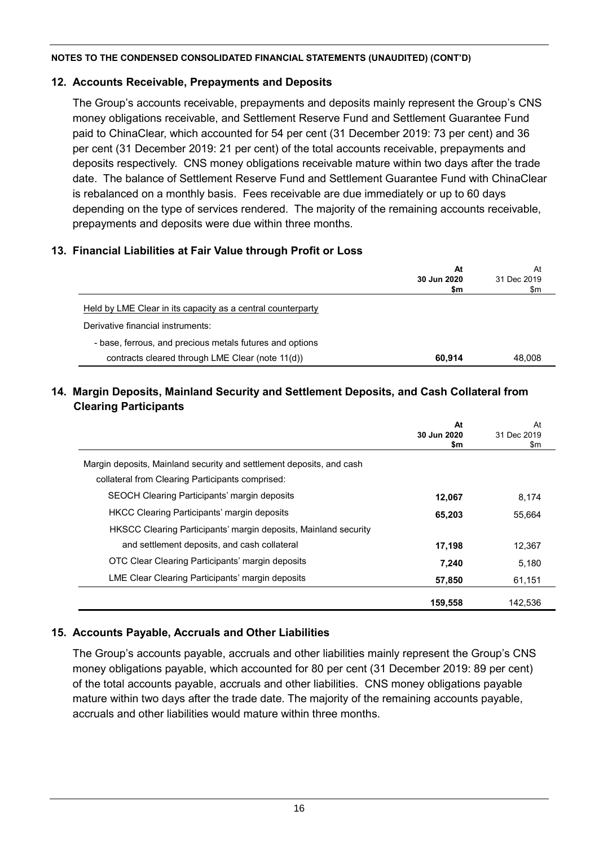## **12. Accounts Receivable, Prepayments and Deposits**

The Group's accounts receivable, prepayments and deposits mainly represent the Group's CNS money obligations receivable, and Settlement Reserve Fund and Settlement Guarantee Fund paid to ChinaClear, which accounted for 54 per cent (31 December 2019: 73 per cent) and 36 per cent (31 December 2019: 21 per cent) of the total accounts receivable, prepayments and deposits respectively. CNS money obligations receivable mature within two days after the trade date. The balance of Settlement Reserve Fund and Settlement Guarantee Fund with ChinaClear is rebalanced on a monthly basis. Fees receivable are due immediately or up to 60 days depending on the type of services rendered. The majority of the remaining accounts receivable, prepayments and deposits were due within three months.

## **13. Financial Liabilities at Fair Value through Profit or Loss**

|                                                             | At<br>30 Jun 2020<br>\$m | At<br>31 Dec 2019<br>\$m |
|-------------------------------------------------------------|--------------------------|--------------------------|
| Held by LME Clear in its capacity as a central counterparty |                          |                          |
| Derivative financial instruments:                           |                          |                          |
| - base, ferrous, and precious metals futures and options    |                          |                          |
| contracts cleared through LME Clear (note 11(d))            | 60.914                   | 48.008                   |

## **14. Margin Deposits, Mainland Security and Settlement Deposits, and Cash Collateral from Clearing Participants**

|                                                                      | At<br>30 Jun 2020<br>\$m | At<br>31 Dec 2019<br>\$m |
|----------------------------------------------------------------------|--------------------------|--------------------------|
| Margin deposits, Mainland security and settlement deposits, and cash |                          |                          |
| collateral from Clearing Participants comprised:                     |                          |                          |
| <b>SEOCH Clearing Participants' margin deposits</b>                  | 12,067                   | 8.174                    |
| <b>HKCC Clearing Participants' margin deposits</b>                   | 65,203                   | 55,664                   |
| HKSCC Clearing Participants' margin deposits, Mainland security      |                          |                          |
| and settlement deposits, and cash collateral                         | 17,198                   | 12,367                   |
| OTC Clear Clearing Participants' margin deposits                     | 7.240                    | 5.180                    |
| LME Clear Clearing Participants' margin deposits                     | 57,850                   | 61,151                   |
|                                                                      | 159.558                  | 142.536                  |

## **15. Accounts Payable, Accruals and Other Liabilities**

The Group's accounts payable, accruals and other liabilities mainly represent the Group's CNS money obligations payable, which accounted for 80 per cent (31 December 2019: 89 per cent) of the total accounts payable, accruals and other liabilities. CNS money obligations payable mature within two days after the trade date. The majority of the remaining accounts payable, accruals and other liabilities would mature within three months.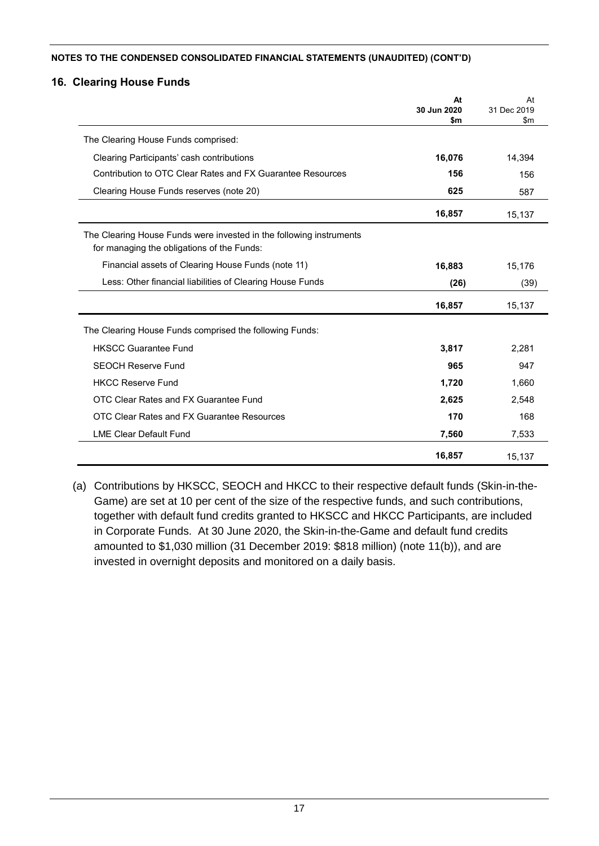### **16. Clearing House Funds**

|                                                                                                                   | At<br>30 Jun 2020 | At<br>31 Dec 2019 |
|-------------------------------------------------------------------------------------------------------------------|-------------------|-------------------|
|                                                                                                                   | \$m               | \$m               |
| The Clearing House Funds comprised:                                                                               |                   |                   |
| Clearing Participants' cash contributions                                                                         | 16,076            | 14,394            |
| Contribution to OTC Clear Rates and FX Guarantee Resources                                                        | 156               | 156               |
| Clearing House Funds reserves (note 20)                                                                           | 625               | 587               |
|                                                                                                                   | 16,857            | 15,137            |
| The Clearing House Funds were invested in the following instruments<br>for managing the obligations of the Funds: |                   |                   |
| Financial assets of Clearing House Funds (note 11)                                                                | 16,883            | 15,176            |
| Less: Other financial liabilities of Clearing House Funds                                                         | (26)              | (39)              |
|                                                                                                                   | 16,857            | 15,137            |
| The Clearing House Funds comprised the following Funds:                                                           |                   |                   |
| <b>HKSCC Guarantee Fund</b>                                                                                       | 3,817             | 2,281             |
| <b>SEOCH Reserve Fund</b>                                                                                         | 965               | 947               |
| <b>HKCC Reserve Fund</b>                                                                                          | 1,720             | 1,660             |
| OTC Clear Rates and FX Guarantee Fund                                                                             | 2,625             | 2,548             |
| OTC Clear Rates and FX Guarantee Resources                                                                        | 170               | 168               |
| <b>LME Clear Default Fund</b>                                                                                     | 7,560             | 7,533             |
|                                                                                                                   | 16,857            | 15,137            |

(a) Contributions by HKSCC, SEOCH and HKCC to their respective default funds (Skin-in-the-Game) are set at 10 per cent of the size of the respective funds, and such contributions, together with default fund credits granted to HKSCC and HKCC Participants, are included in Corporate Funds. At 30 June 2020, the Skin-in-the-Game and default fund credits amounted to \$1,030 million (31 December 2019: \$818 million) (note 11(b)), and are invested in overnight deposits and monitored on a daily basis.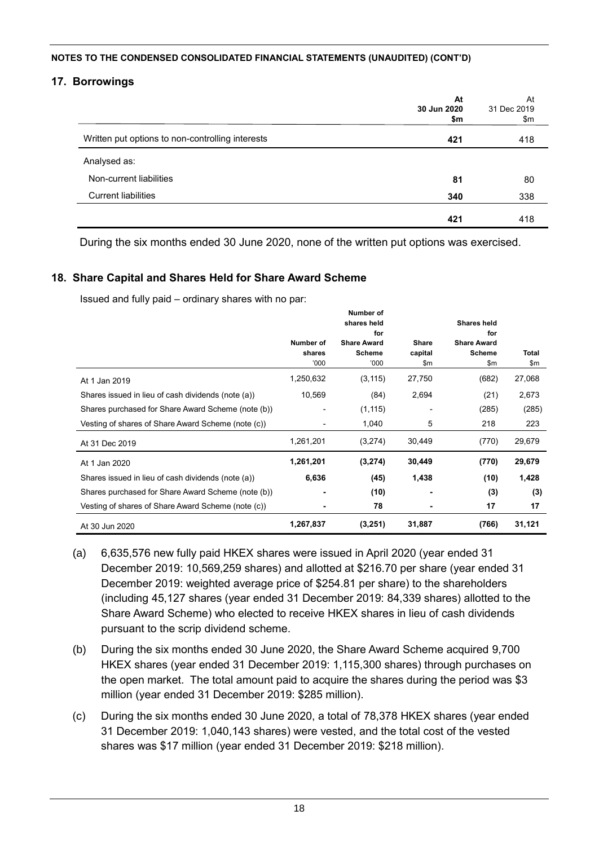## **17. Borrowings**

|                                                  | At<br>30 Jun 2020<br>\$m | At<br>31 Dec 2019<br>\$m |
|--------------------------------------------------|--------------------------|--------------------------|
| Written put options to non-controlling interests | 421                      | 418                      |
| Analysed as:                                     |                          |                          |
| Non-current liabilities                          | 81                       | 80                       |
| <b>Current liabilities</b>                       | 340                      | 338                      |
|                                                  | 421                      | 418                      |

During the six months ended 30 June 2020, none of the written put options was exercised.

### **18. Share Capital and Shares Held for Share Award Scheme**

Issued and fully paid – ordinary shares with no par:

|                                                    | Number of<br>shares | Number of<br>shares held<br>for<br><b>Share Award</b><br><b>Scheme</b> | Share<br>capital | <b>Shares held</b><br>for<br><b>Share Award</b><br><b>Scheme</b> | Total  |
|----------------------------------------------------|---------------------|------------------------------------------------------------------------|------------------|------------------------------------------------------------------|--------|
|                                                    | '000                | '000                                                                   | \$m              | \$m                                                              | \$m    |
| At 1 Jan 2019                                      | 1,250,632           | (3, 115)                                                               | 27,750           | (682)                                                            | 27,068 |
| Shares issued in lieu of cash dividends (note (a)) | 10,569              | (84)                                                                   | 2,694            | (21)                                                             | 2,673  |
| Shares purchased for Share Award Scheme (note (b)) |                     | (1, 115)                                                               |                  | (285)                                                            | (285)  |
| Vesting of shares of Share Award Scheme (note (c)) |                     | 1,040                                                                  | 5                | 218                                                              | 223    |
| At 31 Dec 2019                                     | 1,261,201           | (3,274)                                                                | 30,449           | (770)                                                            | 29,679 |
| At 1 Jan 2020                                      | 1,261,201           | (3,274)                                                                | 30,449           | (770)                                                            | 29,679 |
| Shares issued in lieu of cash dividends (note (a)) | 6,636               | (45)                                                                   | 1,438            | (10)                                                             | 1,428  |
| Shares purchased for Share Award Scheme (note (b)) |                     | (10)                                                                   |                  | (3)                                                              | (3)    |
| Vesting of shares of Share Award Scheme (note (c)) |                     | 78                                                                     |                  | 17                                                               | 17     |
| At 30 Jun 2020                                     | 1,267,837           | (3,251)                                                                | 31,887           | (766)                                                            | 31,121 |

- (a) 6,635,576 new fully paid HKEX shares were issued in April 2020 (year ended 31 December 2019: 10,569,259 shares) and allotted at \$216.70 per share (year ended 31 December 2019: weighted average price of \$254.81 per share) to the shareholders (including 45,127 shares (year ended 31 December 2019: 84,339 shares) allotted to the Share Award Scheme) who elected to receive HKEX shares in lieu of cash dividends pursuant to the scrip dividend scheme.
- (b) During the six months ended 30 June 2020, the Share Award Scheme acquired 9,700 HKEX shares (year ended 31 December 2019: 1,115,300 shares) through purchases on the open market. The total amount paid to acquire the shares during the period was \$3 million (year ended 31 December 2019: \$285 million).
- (c) During the six months ended 30 June 2020, a total of 78,378 HKEX shares (year ended 31 December 2019: 1,040,143 shares) were vested, and the total cost of the vested shares was \$17 million (year ended 31 December 2019: \$218 million).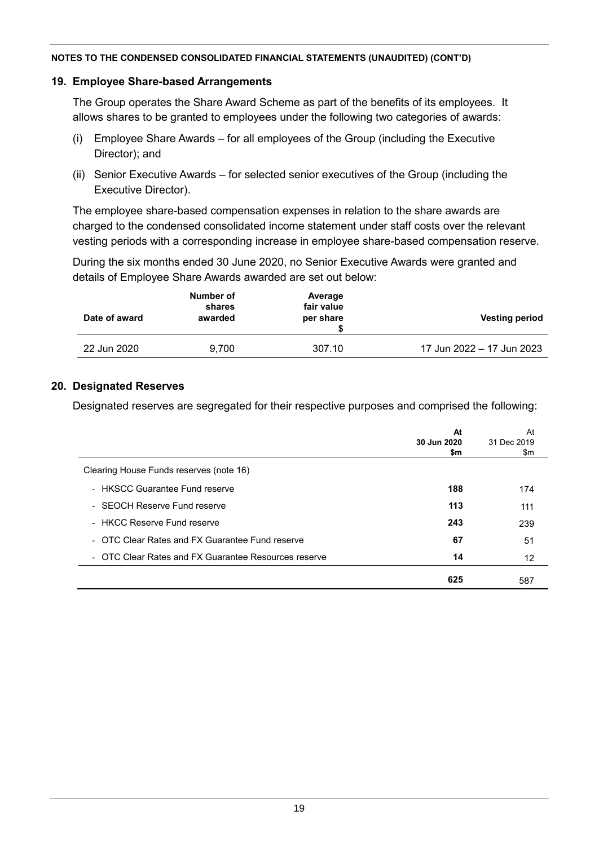### **19. Employee Share-based Arrangements**

The Group operates the Share Award Scheme as part of the benefits of its employees. It allows shares to be granted to employees under the following two categories of awards:

- (i) Employee Share Awards for all employees of the Group (including the Executive Director); and
- (ii) Senior Executive Awards for selected senior executives of the Group (including the Executive Director).

The employee share-based compensation expenses in relation to the share awards are charged to the condensed consolidated income statement under staff costs over the relevant vesting periods with a corresponding increase in employee share-based compensation reserve.

During the six months ended 30 June 2020, no Senior Executive Awards were granted and details of Employee Share Awards awarded are set out below:

| Date of award | Number of<br>shares<br>awarded | Average<br>fair value<br>per share | <b>Vesting period</b>     |
|---------------|--------------------------------|------------------------------------|---------------------------|
| 22 Jun 2020   | 9.700                          | 307.10                             | 17 Jun 2022 - 17 Jun 2023 |

### **20. Designated Reserves**

Designated reserves are segregated for their respective purposes and comprised the following:

|                                                      | At<br>30 Jun 2020<br>\$m | At<br>31 Dec 2019<br>\$m |
|------------------------------------------------------|--------------------------|--------------------------|
| Clearing House Funds reserves (note 16)              |                          |                          |
| - HKSCC Guarantee Fund reserve                       | 188                      | 174                      |
| - SEOCH Reserve Fund reserve                         | 113                      | 111                      |
| - HKCC Reserve Fund reserve                          | 243                      | 239                      |
| - OTC Clear Rates and FX Guarantee Fund reserve      | 67                       | 51                       |
| - OTC Clear Rates and FX Guarantee Resources reserve | 14                       | 12                       |
|                                                      | 625                      | 587                      |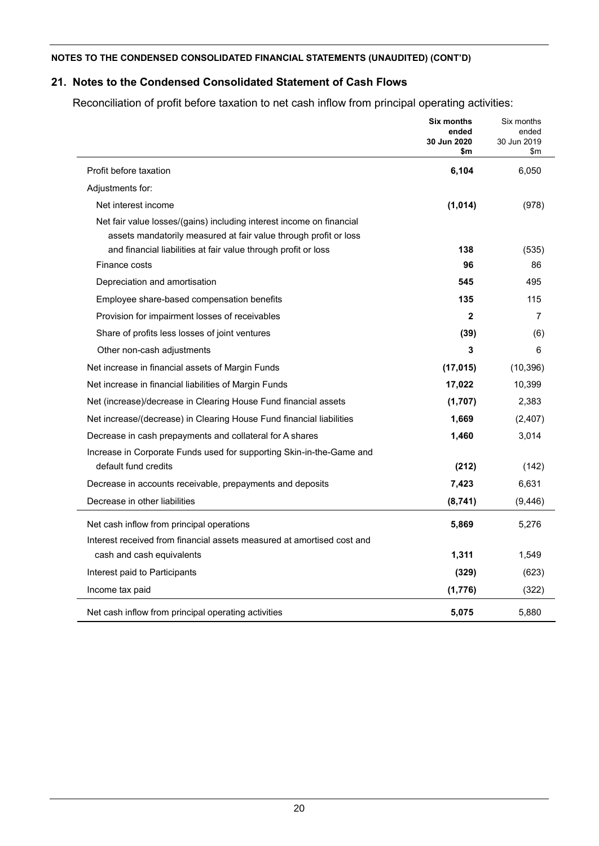## **21. Notes to the Condensed Consolidated Statement of Cash Flows**

Reconciliation of profit before taxation to net cash inflow from principal operating activities:

|                                                                                                                                          | <b>Six months</b><br>ended<br>30 Jun 2020<br>\$m | Six months<br>ended<br>30 Jun 2019<br>\$m |
|------------------------------------------------------------------------------------------------------------------------------------------|--------------------------------------------------|-------------------------------------------|
| Profit before taxation                                                                                                                   | 6,104                                            | 6,050                                     |
| Adjustments for:                                                                                                                         |                                                  |                                           |
| Net interest income                                                                                                                      | (1,014)                                          | (978)                                     |
| Net fair value losses/(gains) including interest income on financial<br>assets mandatorily measured at fair value through profit or loss |                                                  |                                           |
| and financial liabilities at fair value through profit or loss                                                                           | 138                                              | (535)                                     |
| Finance costs                                                                                                                            | 96                                               | 86                                        |
| Depreciation and amortisation                                                                                                            | 545                                              | 495                                       |
| Employee share-based compensation benefits                                                                                               | 135                                              | 115                                       |
| Provision for impairment losses of receivables                                                                                           | $\mathbf{2}$                                     | 7                                         |
| Share of profits less losses of joint ventures                                                                                           | (39)                                             | (6)                                       |
| Other non-cash adjustments                                                                                                               | 3                                                | 6                                         |
| Net increase in financial assets of Margin Funds                                                                                         | (17, 015)                                        | (10, 396)                                 |
| Net increase in financial liabilities of Margin Funds                                                                                    | 17,022                                           | 10,399                                    |
| Net (increase)/decrease in Clearing House Fund financial assets                                                                          | (1,707)                                          | 2,383                                     |
| Net increase/(decrease) in Clearing House Fund financial liabilities                                                                     | 1,669                                            | (2,407)                                   |
| Decrease in cash prepayments and collateral for A shares                                                                                 | 1,460                                            | 3,014                                     |
| Increase in Corporate Funds used for supporting Skin-in-the-Game and                                                                     |                                                  |                                           |
| default fund credits                                                                                                                     | (212)                                            | (142)                                     |
| Decrease in accounts receivable, prepayments and deposits                                                                                | 7,423                                            | 6,631                                     |
| Decrease in other liabilities                                                                                                            | (8,741)                                          | (9,446)                                   |
| Net cash inflow from principal operations                                                                                                | 5,869                                            | 5,276                                     |
| Interest received from financial assets measured at amortised cost and                                                                   |                                                  |                                           |
| cash and cash equivalents                                                                                                                | 1,311                                            | 1,549                                     |
| Interest paid to Participants                                                                                                            | (329)                                            | (623)                                     |
| Income tax paid                                                                                                                          | (1,776)                                          | (322)                                     |
| Net cash inflow from principal operating activities                                                                                      | 5,075                                            | 5.880                                     |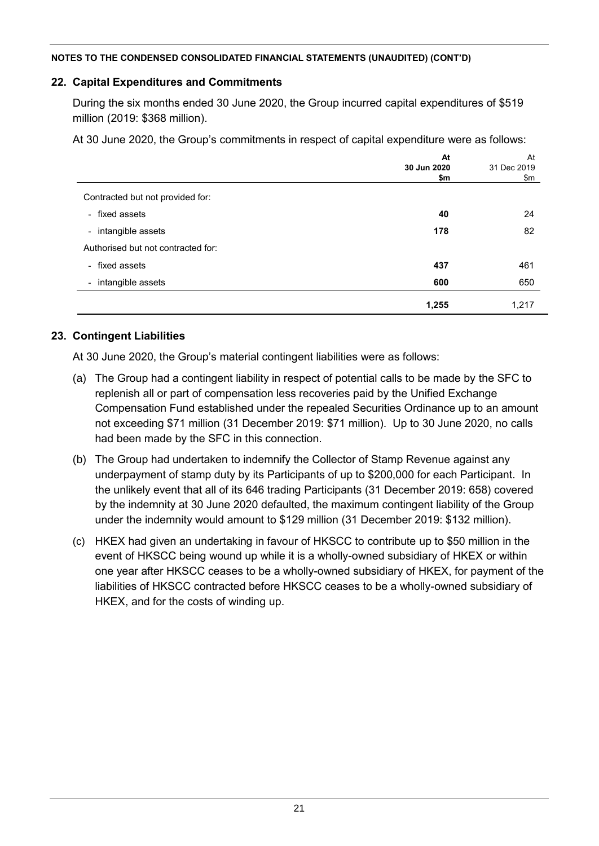## **22. Capital Expenditures and Commitments**

During the six months ended 30 June 2020, the Group incurred capital expenditures of \$519 million (2019: \$368 million).

At 30 June 2020, the Group's commitments in respect of capital expenditure were as follows:

|                                               | At          | At          |
|-----------------------------------------------|-------------|-------------|
|                                               | 30 Jun 2020 | 31 Dec 2019 |
|                                               | \$m         | \$m         |
| Contracted but not provided for:              |             |             |
| - fixed assets                                | 40          | 24          |
| intangible assets<br>$\overline{\phantom{a}}$ | 178         | 82          |
| Authorised but not contracted for:            |             |             |
| - fixed assets                                | 437         | 461         |
| - intangible assets                           | 600         | 650         |
|                                               | 1,255       | 1,217       |

## **23. Contingent Liabilities**

At 30 June 2020, the Group's material contingent liabilities were as follows:

- (a) The Group had a contingent liability in respect of potential calls to be made by the SFC to replenish all or part of compensation less recoveries paid by the Unified Exchange Compensation Fund established under the repealed Securities Ordinance up to an amount not exceeding \$71 million (31 December 2019: \$71 million). Up to 30 June 2020, no calls had been made by the SFC in this connection.
- (b) The Group had undertaken to indemnify the Collector of Stamp Revenue against any underpayment of stamp duty by its Participants of up to \$200,000 for each Participant. In the unlikely event that all of its 646 trading Participants (31 December 2019: 658) covered by the indemnity at 30 June 2020 defaulted, the maximum contingent liability of the Group under the indemnity would amount to \$129 million (31 December 2019: \$132 million).
- (c) HKEX had given an undertaking in favour of HKSCC to contribute up to \$50 million in the event of HKSCC being wound up while it is a wholly-owned subsidiary of HKEX or within one year after HKSCC ceases to be a wholly-owned subsidiary of HKEX, for payment of the liabilities of HKSCC contracted before HKSCC ceases to be a wholly-owned subsidiary of HKEX, and for the costs of winding up.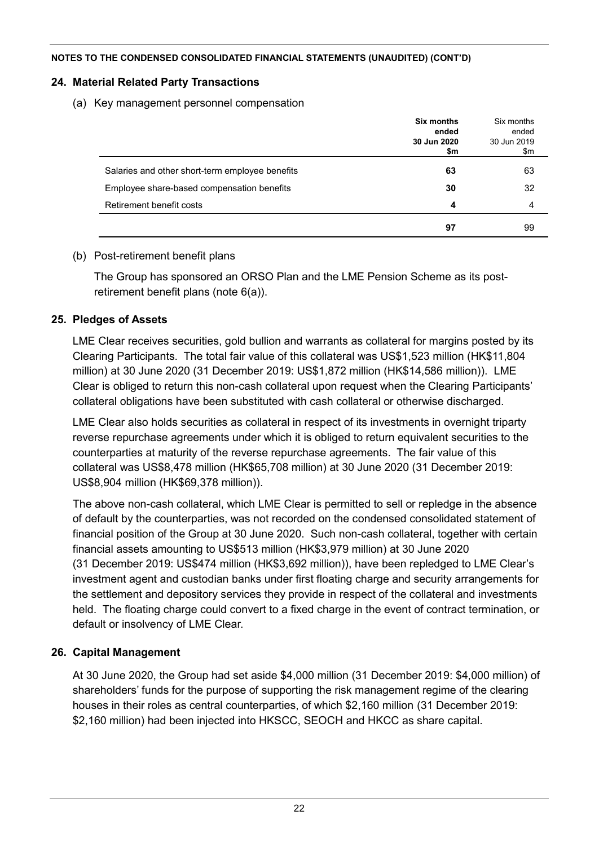## **24. Material Related Party Transactions**

(a) Key management personnel compensation

|                                                 | Six months<br>ended<br>30 Jun 2020<br>\$m | Six months<br>ended<br>30 Jun 2019<br>\$m |
|-------------------------------------------------|-------------------------------------------|-------------------------------------------|
| Salaries and other short-term employee benefits | 63                                        | 63                                        |
| Employee share-based compensation benefits      | 30                                        | 32                                        |
| Retirement benefit costs                        | 4                                         | 4                                         |
|                                                 | 97                                        | 99                                        |

## (b) Post-retirement benefit plans

The Group has sponsored an ORSO Plan and the LME Pension Scheme as its postretirement benefit plans (note 6(a)).

## **25. Pledges of Assets**

LME Clear receives securities, gold bullion and warrants as collateral for margins posted by its Clearing Participants. The total fair value of this collateral was US\$1,523 million (HK\$11,804 million) at 30 June 2020 (31 December 2019: US\$1,872 million (HK\$14,586 million)). LME Clear is obliged to return this non-cash collateral upon request when the Clearing Participants' collateral obligations have been substituted with cash collateral or otherwise discharged.

LME Clear also holds securities as collateral in respect of its investments in overnight triparty reverse repurchase agreements under which it is obliged to return equivalent securities to the counterparties at maturity of the reverse repurchase agreements. The fair value of this collateral was US\$8,478 million (HK\$65,708 million) at 30 June 2020 (31 December 2019: US\$8,904 million (HK\$69,378 million)).

The above non-cash collateral, which LME Clear is permitted to sell or repledge in the absence of default by the counterparties, was not recorded on the condensed consolidated statement of financial position of the Group at 30 June 2020. Such non-cash collateral, together with certain financial assets amounting to US\$513 million (HK\$3,979 million) at 30 June 2020 (31 December 2019: US\$474 million (HK\$3,692 million)), have been repledged to LME Clear's investment agent and custodian banks under first floating charge and security arrangements for the settlement and depository services they provide in respect of the collateral and investments held. The floating charge could convert to a fixed charge in the event of contract termination, or default or insolvency of LME Clear.

## **26. Capital Management**

At 30 June 2020, the Group had set aside \$4,000 million (31 December 2019: \$4,000 million) of shareholders' funds for the purpose of supporting the risk management regime of the clearing houses in their roles as central counterparties, of which \$2,160 million (31 December 2019: \$2,160 million) had been injected into HKSCC, SEOCH and HKCC as share capital.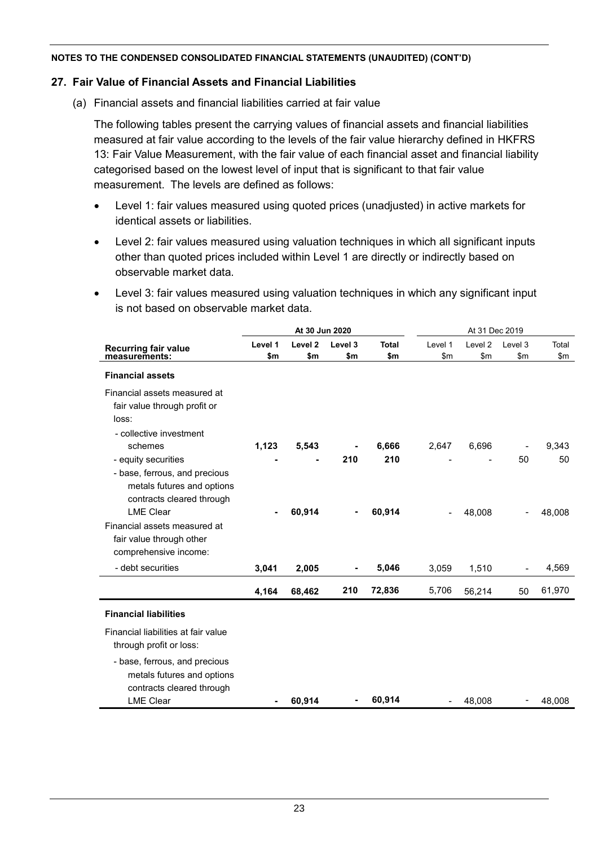### **27. Fair Value of Financial Assets and Financial Liabilities**

(a) Financial assets and financial liabilities carried at fair value

The following tables present the carrying values of financial assets and financial liabilities measured at fair value according to the levels of the fair value hierarchy defined in HKFRS 13: Fair Value Measurement, with the fair value of each financial asset and financial liability categorised based on the lowest level of input that is significant to that fair value measurement. The levels are defined as follows:

- Level 1: fair values measured using quoted prices (unadjusted) in active markets for identical assets or liabilities.
- Level 2: fair values measured using valuation techniques in which all significant inputs other than quoted prices included within Level 1 are directly or indirectly based on observable market data.
- Level 3: fair values measured using valuation techniques in which any significant input is not based on observable market data.

|                                     |         | At 30 Jun 2020     |                |              | At 31 Dec 2019           |                    |         |        |
|-------------------------------------|---------|--------------------|----------------|--------------|--------------------------|--------------------|---------|--------|
| <b>Recurring fair value</b>         | Level 1 | Level <sub>2</sub> | Level 3        | <b>Total</b> | Level 1                  | Level <sub>2</sub> | Level 3 | Total  |
| measurements:                       | \$m     | \$m                | \$m            | \$m          | \$m                      | \$m                | \$m     | \$m    |
| <b>Financial assets</b>             |         |                    |                |              |                          |                    |         |        |
| Financial assets measured at        |         |                    |                |              |                          |                    |         |        |
| fair value through profit or        |         |                    |                |              |                          |                    |         |        |
| loss:                               |         |                    |                |              |                          |                    |         |        |
| - collective investment             |         |                    |                |              |                          |                    |         |        |
| schemes                             | 1,123   | 5,543              |                | 6,666        | 2,647                    | 6,696              |         | 9,343  |
| - equity securities                 |         |                    | 210            | 210          |                          |                    | 50      | 50     |
| - base, ferrous, and precious       |         |                    |                |              |                          |                    |         |        |
| metals futures and options          |         |                    |                |              |                          |                    |         |        |
| contracts cleared through           |         |                    |                |              |                          |                    |         |        |
| <b>LME Clear</b>                    |         | 60,914             |                | 60,914       | $\overline{\phantom{a}}$ | 48,008             |         | 48,008 |
| Financial assets measured at        |         |                    |                |              |                          |                    |         |        |
| fair value through other            |         |                    |                |              |                          |                    |         |        |
| comprehensive income:               |         |                    |                |              |                          |                    |         |        |
| - debt securities                   | 3,041   | 2,005              | -              | 5,046        | 3,059                    | 1,510              |         | 4,569  |
|                                     | 4,164   | 68,462             | 210            | 72,836       | 5,706                    | 56,214             | 50      | 61,970 |
| <b>Financial liabilities</b>        |         |                    |                |              |                          |                    |         |        |
| Financial liabilities at fair value |         |                    |                |              |                          |                    |         |        |
| through profit or loss:             |         |                    |                |              |                          |                    |         |        |
| - base, ferrous, and precious       |         |                    |                |              |                          |                    |         |        |
| metals futures and options          |         |                    |                |              |                          |                    |         |        |
| contracts cleared through           |         |                    |                |              |                          |                    |         |        |
| <b>LME Clear</b>                    |         | 60,914             | $\blacksquare$ | 60,914       |                          | 48,008             |         | 48,008 |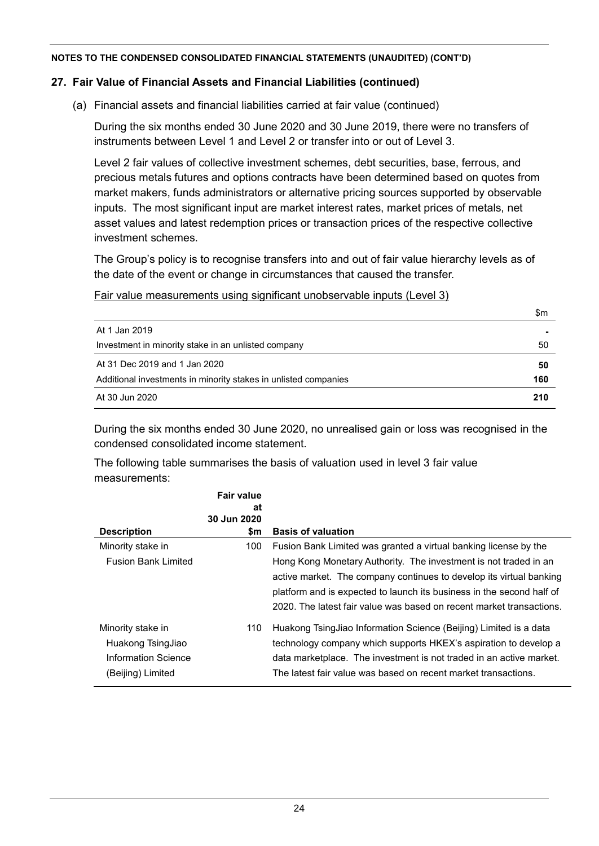### **27. Fair Value of Financial Assets and Financial Liabilities (continued)**

(a) Financial assets and financial liabilities carried at fair value (continued)

During the six months ended 30 June 2020 and 30 June 2019, there were no transfers of instruments between Level 1 and Level 2 or transfer into or out of Level 3.

Level 2 fair values of collective investment schemes, debt securities, base, ferrous, and precious metals futures and options contracts have been determined based on quotes from market makers, funds administrators or alternative pricing sources supported by observable inputs. The most significant input are market interest rates, market prices of metals, net asset values and latest redemption prices or transaction prices of the respective collective investment schemes.

The Group's policy is to recognise transfers into and out of fair value hierarchy levels as of the date of the event or change in circumstances that caused the transfer.

Fair value measurements using significant unobservable inputs (Level 3)

|                                                                 | \$m |
|-----------------------------------------------------------------|-----|
| At 1 Jan 2019                                                   |     |
| Investment in minority stake in an unlisted company             | 50  |
| At 31 Dec 2019 and 1 Jan 2020                                   | 50  |
| Additional investments in minority stakes in unlisted companies | 160 |
| At 30 Jun 2020                                                  | 210 |

During the six months ended 30 June 2020, no unrealised gain or loss was recognised in the condensed consolidated income statement.

The following table summarises the basis of valuation used in level 3 fair value measurements:

|                                                                                           | <b>Fair value</b><br>at |                                                                                                                                                                                                                                                                                                                                                              |
|-------------------------------------------------------------------------------------------|-------------------------|--------------------------------------------------------------------------------------------------------------------------------------------------------------------------------------------------------------------------------------------------------------------------------------------------------------------------------------------------------------|
| <b>Description</b>                                                                        | 30 Jun 2020<br>\$m      | <b>Basis of valuation</b>                                                                                                                                                                                                                                                                                                                                    |
| Minority stake in<br><b>Fusion Bank Limited</b>                                           | 100                     | Fusion Bank Limited was granted a virtual banking license by the<br>Hong Kong Monetary Authority. The investment is not traded in an<br>active market. The company continues to develop its virtual banking<br>platform and is expected to launch its business in the second half of<br>2020. The latest fair value was based on recent market transactions. |
| Minority stake in<br>Huakong TsingJiao<br><b>Information Science</b><br>(Beijing) Limited | 110                     | Huakong TsingJiao Information Science (Beijing) Limited is a data<br>technology company which supports HKEX's aspiration to develop a<br>data marketplace. The investment is not traded in an active market.<br>The latest fair value was based on recent market transactions.                                                                               |